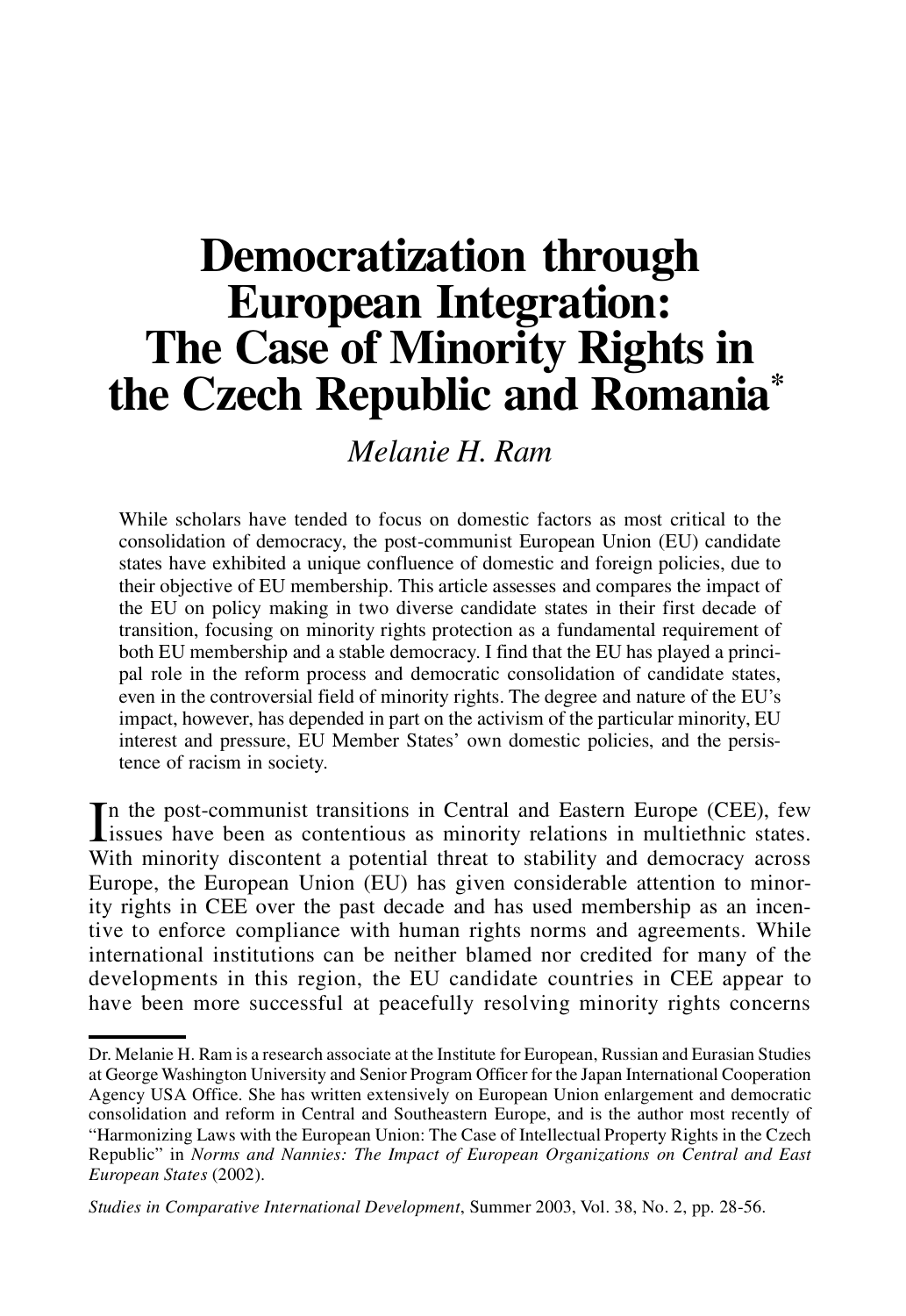# **Democratization through European Integration: The Case of Minority Rights in the Czech Republic and Romania \***

# *Melanie H. Ram*

While scholars have tended to focus on domestic factors as most critical to the consolidation of democracy, the post-communist European Union (EU) candidate states have exhibited a unique confluence of domestic and foreign policies, due to their objective of EU membership. This article assesses and compares the impact of the EU on policy making in two diverse candidate states in their first decade of transition, focusing on minority rights protection as a fundamental requirement of both EU membership and a stable democracy. I find that the EU has played a principal role in the reform process and democratic consolidation of candidate states, even in the controversial field of minority rights. The degree and nature of the EU's impact, however, has depended in part on the activism of the particular minority, EU interest and pressure, EU Member States' own domestic policies, and the persistence of racism in society.

In the post-communist transitions in Central and Eastern Europe (CEE), few issues have been as contentious as minority relations in multiethnic states. issues have been as contentious as minority relations in multiethnic states. With minority discontent a potential threat to stability and democracy across Europe, the European Union (EU) has given considerable attention to minority rights in CEE over the past decade and has used membership as an incentive to enforce compliance with human rights norms and agreements. While international institutions can be neither blamed nor credited for many of the developments in this region, the EU candidate countries in CEE appear to have been more successful at peacefully resolving minority rights concerns

*Studies in Comparative International Development*, Summer 2003, Vol. 38, No. 2, pp. 28-56.

Dr. Melanie H. Ram is a research associate at the Institute for European, Russian and Eurasian Studies at George Washington University and Senior Program Officer for the Japan International Cooperation Agency USA Office. She has written extensively on European Union enlargement and democratic consolidation and reform in Central and Southeastern Europe, and is the author most recently of "Harmonizing Laws with the European Union: The Case of Intellectual Property Rights in the Czech Republic" in *Norms and Nannies: The Impact of European Organizations on Central and East European States* (2002).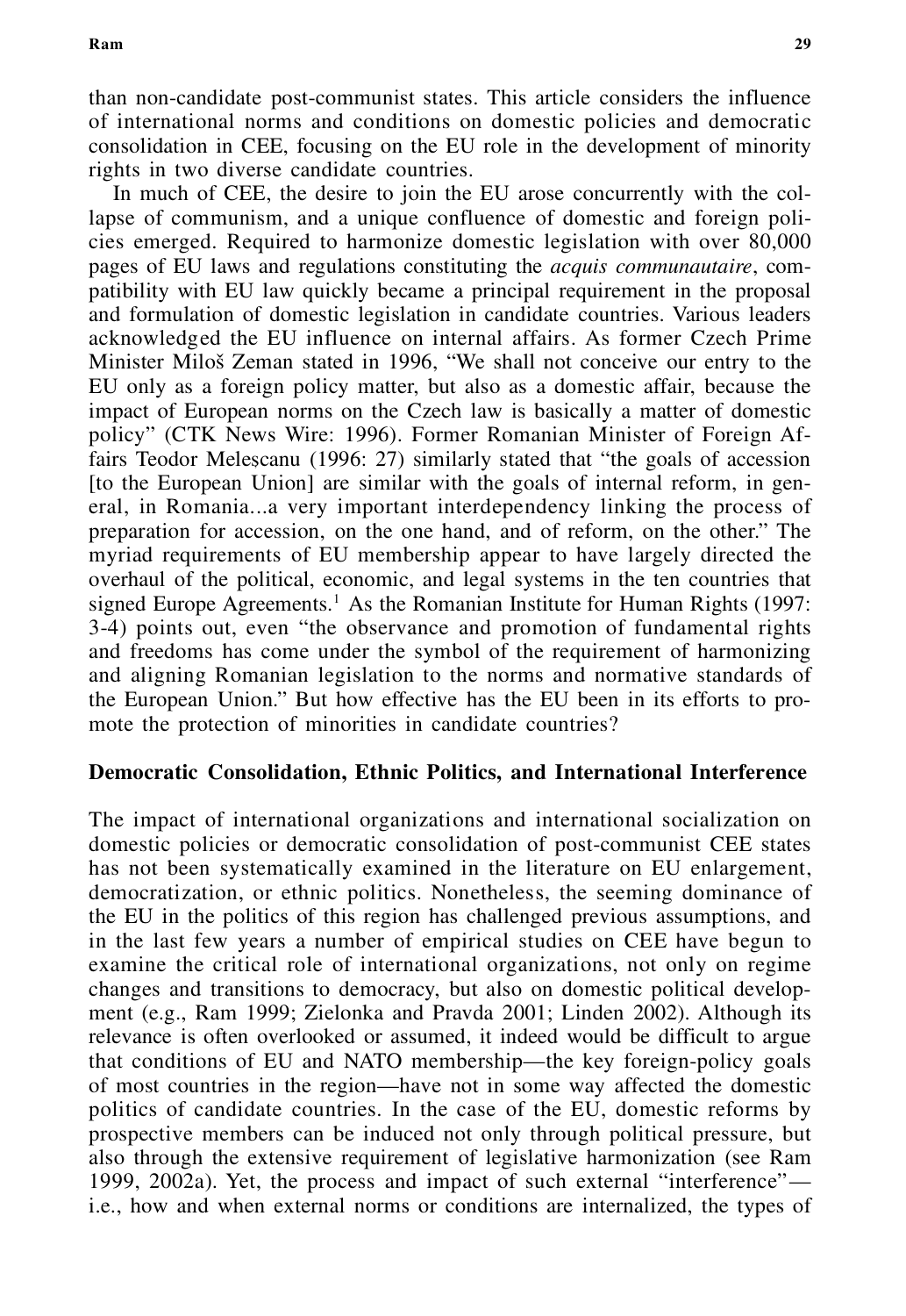than non-candidate post-communist states. This article considers the influence of international norms and conditions on domestic policies and democratic consolidation in CEE, focusing on the EU role in the development of minority rights in two diverse candidate countries.

In much of CEE, the desire to join the EU arose concurrently with the collapse of communism, and a unique confluence of domestic and foreign policies emerged. Required to harmonize domestic legislation with over 80,000 pages of EU laws and regulations constituting the *acquis communautaire*, compatibility with EU law quickly became a principal requirement in the proposal and formulation of domestic legislation in candidate countries. Various leaders acknowledged the EU influence on internal affairs. As former Czech Prime Minister Miloš Zeman stated in 1996, "We shall not conceive our entry to the EU only as a foreign policy matter, but also as a domestic affair, because the impact of European norms on the Czech law is basically a matter of domestic policy" (CTK News Wire: 1996). Former Romanian Minister of Foreign Affairs Teodor Melescanu (1996: 27) similarly stated that "the goals of accession [to the European Union] are similar with the goals of internal reform, in general, in Romania...a very important interdependency linking the process of preparation for accession, on the one hand, and of reform, on the other." The myriad requirements of EU membership appear to have largely directed the overhaul of the political, economic, and legal systems in the ten countries that signed Europe Agreements.<sup>1</sup> As the Romanian Institute for Human Rights (1997: 3-4) points out, even "the observance and promotion of fundamental rights and freedoms has come under the symbol of the requirement of harmonizing and aligning Romanian legislation to the norms and normative standards of the European Union." But how effective has the EU been in its efforts to promote the protection of minorities in candidate countries?

#### **Democratic Consolidation, Ethnic Politics, and International Interference**

The impact of international organizations and international socialization on domestic policies or democratic consolidation of post-communist CEE states has not been systematically examined in the literature on EU enlargement, democratization, or ethnic politics. Nonetheless, the seeming dominance of the EU in the politics of this region has challenged previous assumptions, and in the last few years a number of empirical studies on CEE have begun to examine the critical role of international organizations, not only on regime changes and transitions to democracy, but also on domestic political development (e.g., Ram 1999; Zielonka and Pravda 2001; Linden 2002). Although its relevance is often overlooked or assumed, it indeed would be difficult to argue that conditions of EU and NATO membership—the key foreign-policy goals of most countries in the region—have not in some way affected the domestic politics of candidate countries. In the case of the EU, domestic reforms by prospective members can be induced not only through political pressure, but also through the extensive requirement of legislative harmonization (see Ram 1999, 2002a). Yet, the process and impact of such external "interference" i.e., how and when external norms or conditions are internalized, the types of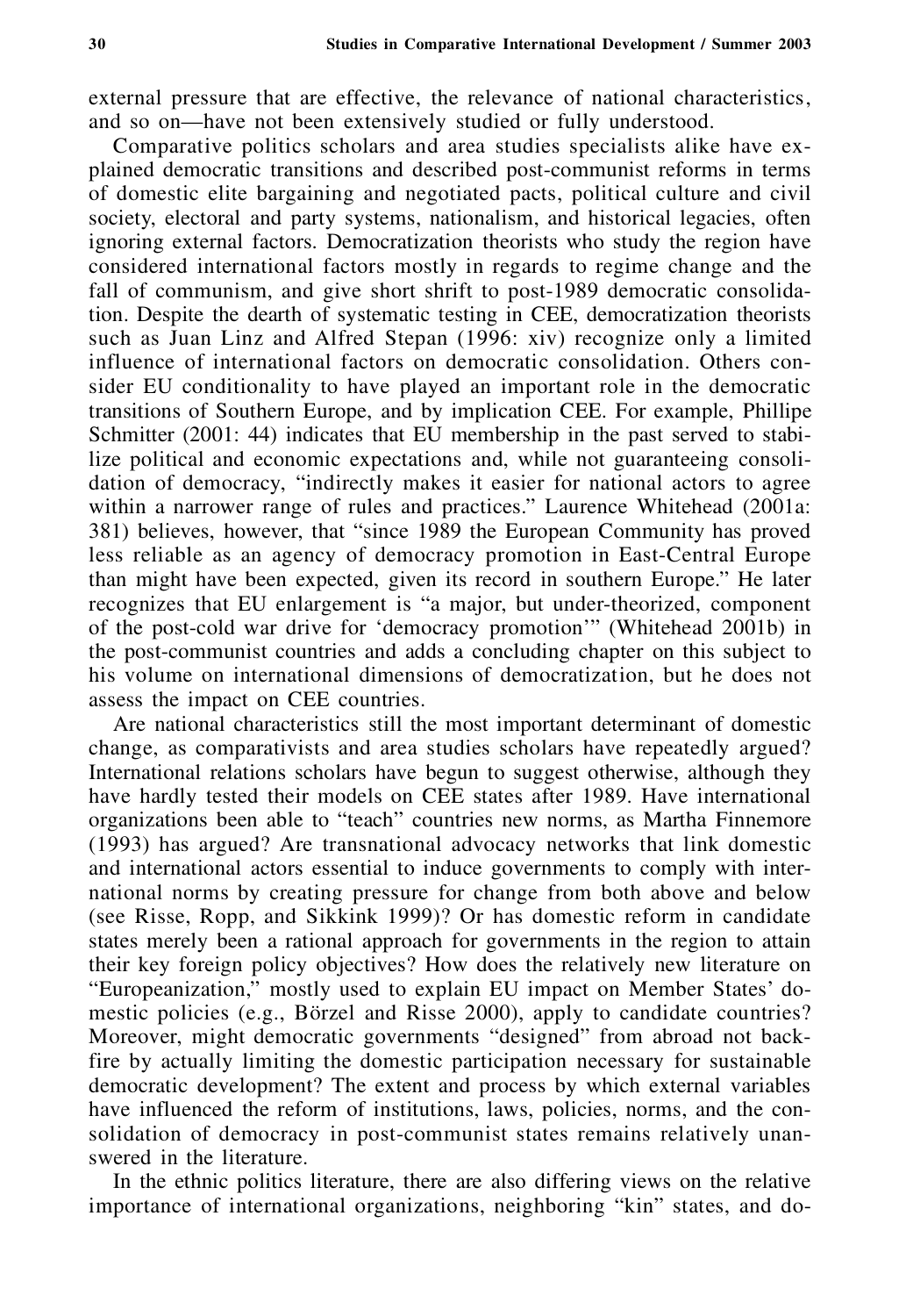external pressure that are effective, the relevance of national characteristics, and so on—have not been extensively studied or fully understood.

Comparative politics scholars and area studies specialists alike have explained democratic transitions and described post-communist reforms in terms of domestic elite bargaining and negotiated pacts, political culture and civil society, electoral and party systems, nationalism, and historical legacies, often ignoring external factors. Democratization theorists who study the region have considered international factors mostly in regards to regime change and the fall of communism, and give short shrift to post-1989 democratic consolidation. Despite the dearth of systematic testing in CEE, democratization theorists such as Juan Linz and Alfred Stepan (1996: xiv) recognize only a limited influence of international factors on democratic consolidation. Others consider EU conditionality to have played an important role in the democratic transitions of Southern Europe, and by implication CEE. For example, Phillipe Schmitter (2001: 44) indicates that EU membership in the past served to stabilize political and economic expectations and, while not guaranteeing consolidation of democracy, "indirectly makes it easier for national actors to agree within a narrower range of rules and practices." Laurence Whitehead (2001a: 381) believes, however, that "since 1989 the European Community has proved less reliable as an agency of democracy promotion in East-Central Europe than might have been expected, given its record in southern Europe." He later recognizes that EU enlargement is "a major, but under-theorized, component of the post-cold war drive for 'democracy promotion'" (Whitehead 2001b) in the post-communist countries and adds a concluding chapter on this subject to his volume on international dimensions of democratization, but he does not assess the impact on CEE countries.

Are national characteristics still the most important determinant of domestic change, as comparativists and area studies scholars have repeatedly argued? International relations scholars have begun to suggest otherwise, although they have hardly tested their models on CEE states after 1989. Have international organizations been able to "teach" countries new norms, as Martha Finnemore (1993) has argued? Are transnational advocacy networks that link domestic and international actors essential to induce governments to comply with international norms by creating pressure for change from both above and below (see Risse, Ropp, and Sikkink 1999)? Or has domestic reform in candidate states merely been a rational approach for governments in the region to attain their key foreign policy objectives? How does the relatively new literature on "Europeanization," mostly used to explain EU impact on Member States' domestic policies (e.g., Börzel and Risse 2000), apply to candidate countries? Moreover, might democratic governments "designed" from abroad not backfire by actually limiting the domestic participation necessary for sustainable democratic development? The extent and process by which external variables have influenced the reform of institutions, laws, policies, norms, and the consolidation of democracy in post-communist states remains relatively unanswered in the literature.

In the ethnic politics literature, there are also differing views on the relative importance of international organizations, neighboring "kin" states, and do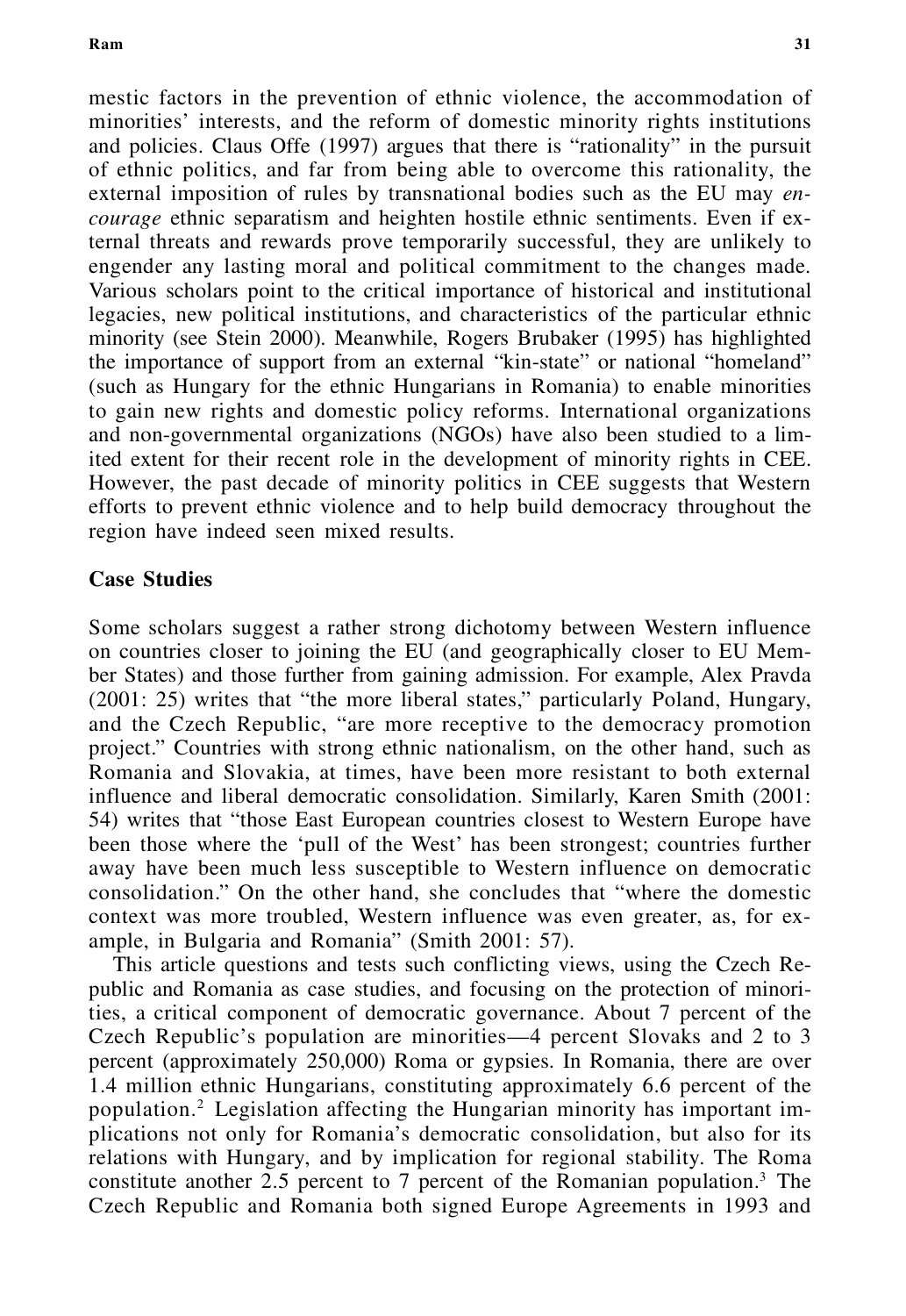mestic factors in the prevention of ethnic violence, the accommodation of minorities' interests, and the reform of domestic minority rights institutions and policies. Claus Offe (1997) argues that there is "rationality" in the pursuit of ethnic politics, and far from being able to overcome this rationality, the external imposition of rules by transnational bodies such as the EU may *encourage* ethnic separatism and heighten hostile ethnic sentiments. Even if external threats and rewards prove temporarily successful, they are unlikely to engender any lasting moral and political commitment to the changes made. Various scholars point to the critical importance of historical and institutional legacies, new political institutions, and characteristics of the particular ethnic minority (see Stein 2000). Meanwhile, Rogers Brubaker (1995) has highlighted the importance of support from an external "kin-state" or national "homeland" (such as Hungary for the ethnic Hungarians in Romania) to enable minorities to gain new rights and domestic policy reforms. International organizations and non-governmental organizations (NGOs) have also been studied to a limited extent for their recent role in the development of minority rights in CEE. However, the past decade of minority politics in CEE suggests that Western efforts to prevent ethnic violence and to help build democracy throughout the region have indeed seen mixed results.

#### **Case Studies**

Some scholars suggest a rather strong dichotomy between Western influence on countries closer to joining the EU (and geographically closer to EU Member States) and those further from gaining admission. For example, Alex Pravda (2001: 25) writes that "the more liberal states," particularly Poland, Hungary, and the Czech Republic, "are more receptive to the democracy promotion project." Countries with strong ethnic nationalism, on the other hand, such as Romania and Slovakia, at times, have been more resistant to both external influence and liberal democratic consolidation. Similarly, Karen Smith (2001: 54) writes that "those East European countries closest to Western Europe have been those where the 'pull of the West' has been strongest; countries further away have been much less susceptible to Western influence on democratic consolidation." On the other hand, she concludes that "where the domestic context was more troubled, Western influence was even greater, as, for example, in Bulgaria and Romania" (Smith 2001: 57).

This article questions and tests such conflicting views, using the Czech Republic and Romania as case studies, and focusing on the protection of minorities, a critical component of democratic governance. About 7 percent of the Czech Republic's population are minorities—4 percent Slovaks and 2 to 3 percent (approximately 250,000) Roma or gypsies. In Romania, there are over 1.4 million ethnic Hungarians, constituting approximately 6.6 percent of the population.<sup>2</sup> Legislation affecting the Hungarian minority has important implications not only for Romania's democratic consolidation, but also for its relations with Hungary, and by implication for regional stability. The Roma constitute another 2.5 percent to 7 percent of the Romanian population.<sup>3</sup> The Czech Republic and Romania both signed Europe Agreements in 1993 and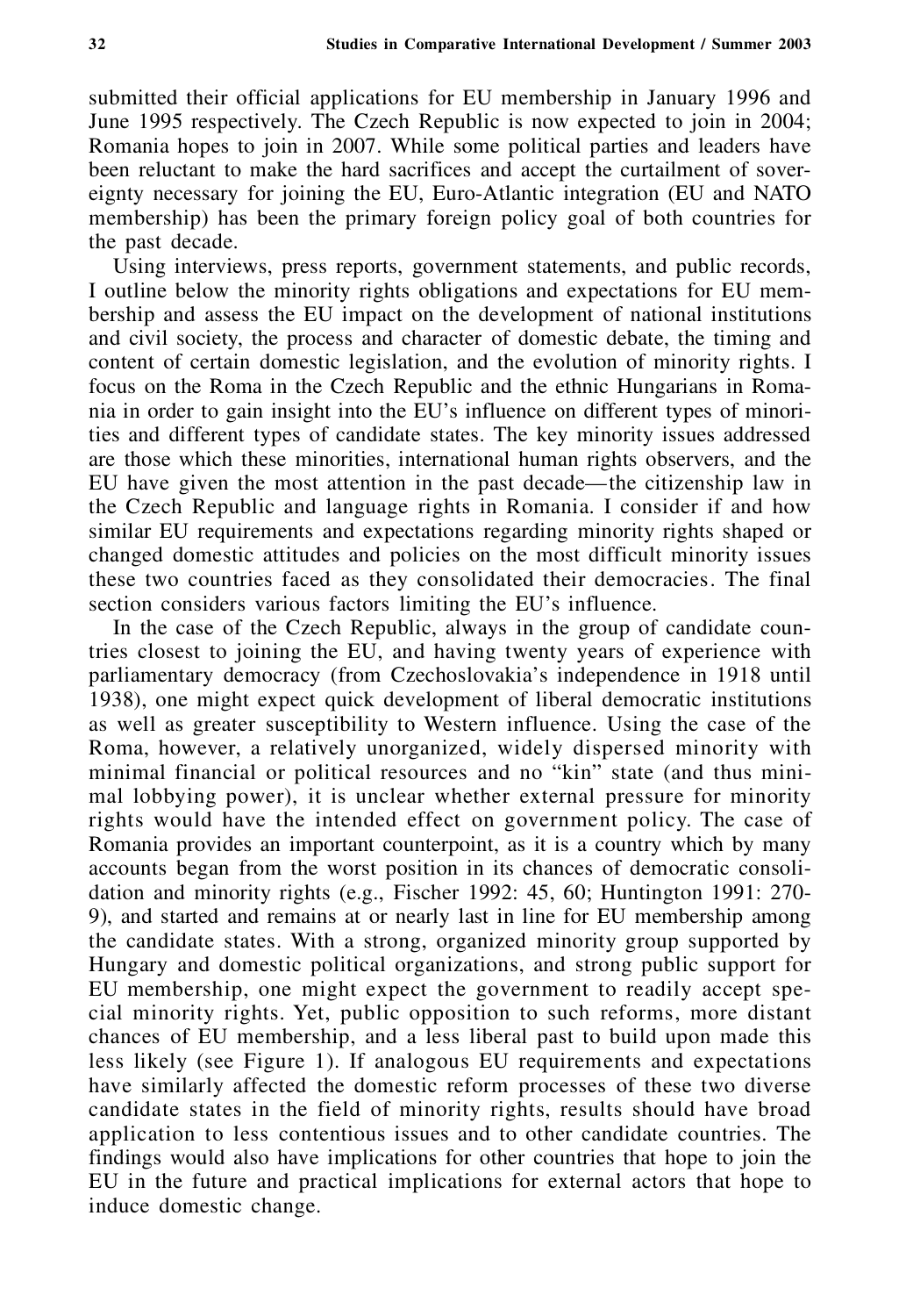submitted their official applications for EU membership in January 1996 and June 1995 respectively. The Czech Republic is now expected to join in 2004; Romania hopes to join in 2007. While some political parties and leaders have been reluctant to make the hard sacrifices and accept the curtailment of sovereignty necessary for joining the EU, Euro-Atlantic integration (EU and NATO membership) has been the primary foreign policy goal of both countries for the past decade.

Using interviews, press reports, government statements, and public records, I outline below the minority rights obligations and expectations for EU membership and assess the EU impact on the development of national institutions and civil society, the process and character of domestic debate, the timing and content of certain domestic legislation, and the evolution of minority rights. I focus on the Roma in the Czech Republic and the ethnic Hungarians in Romania in order to gain insight into the EU's influence on different types of minorities and different types of candidate states. The key minority issues addressed are those which these minorities, international human rights observers, and the EU have given the most attention in the past decade—the citizenship law in the Czech Republic and language rights in Romania. I consider if and how similar EU requirements and expectations regarding minority rights shaped or changed domestic attitudes and policies on the most difficult minority issues these two countries faced as they consolidated their democracies. The final section considers various factors limiting the EU's influence.

In the case of the Czech Republic, always in the group of candidate countries closest to joining the EU, and having twenty years of experience with parliamentary democracy (from Czechoslovakia's independence in 1918 until 1938), one might expect quick development of liberal democratic institutions as well as greater susceptibility to Western influence. Using the case of the Roma, however, a relatively unorganized, widely dispersed minority with minimal financial or political resources and no "kin" state (and thus minimal lobbying power), it is unclear whether external pressure for minority rights would have the intended effect on government policy. The case of Romania provides an important counterpoint, as it is a country which by many accounts began from the worst position in its chances of democratic consolidation and minority rights (e.g., Fischer 1992: 45, 60; Huntington 1991: 270- 9), and started and remains at or nearly last in line for EU membership among the candidate states. With a strong, organized minority group supported by Hungary and domestic political organizations, and strong public support for EU membership, one might expect the government to readily accept special minority rights. Yet, public opposition to such reforms, more distant chances of EU membership, and a less liberal past to build upon made this less likely (see Figure 1). If analogous EU requirements and expectations have similarly affected the domestic reform processes of these two diverse candidate states in the field of minority rights, results should have broad application to less contentious issues and to other candidate countries. The findings would also have implications for other countries that hope to join the EU in the future and practical implications for external actors that hope to induce domestic change.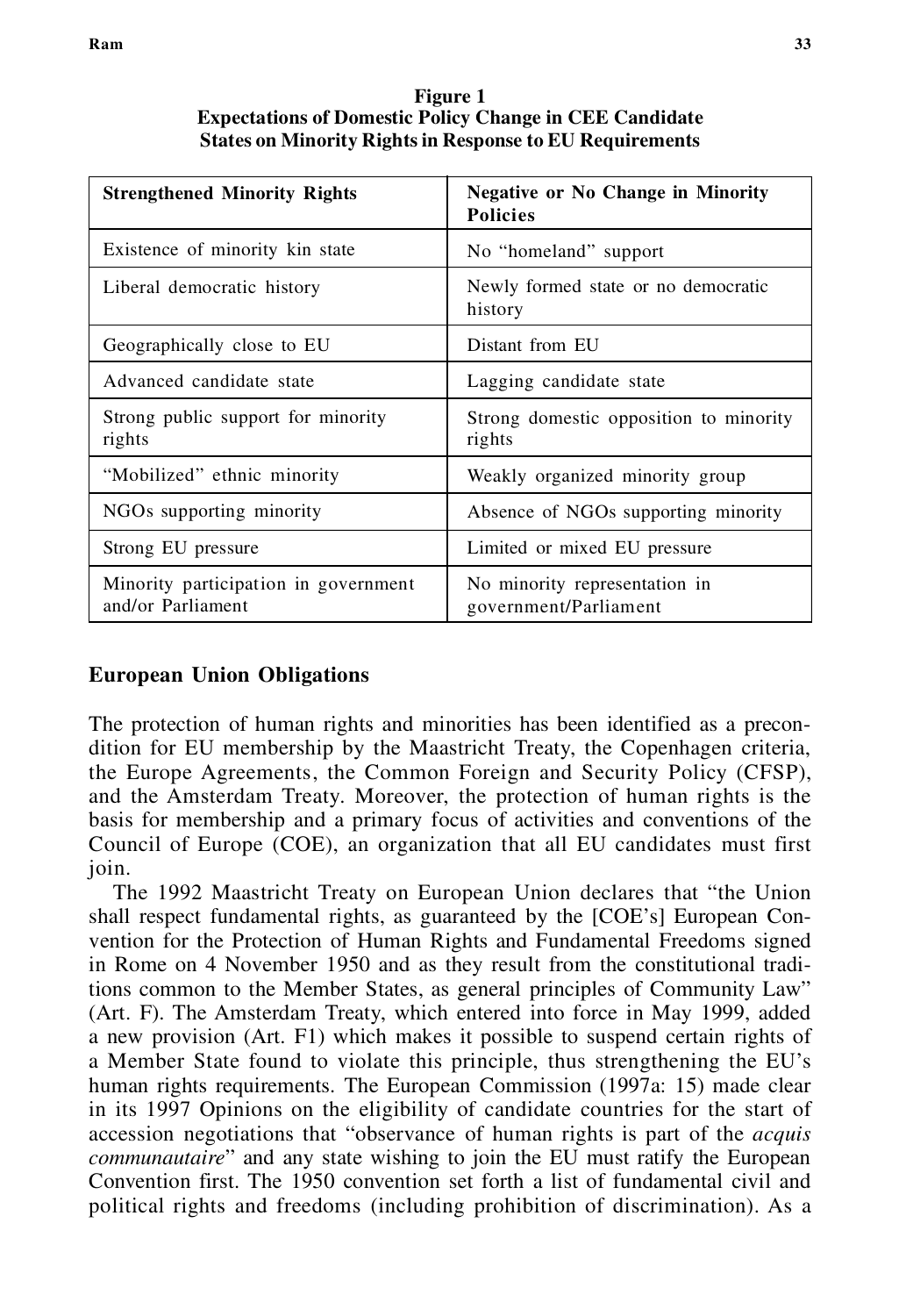| Figure 1                                                        |
|-----------------------------------------------------------------|
| <b>Expectations of Domestic Policy Change in CEE Candidate</b>  |
| <b>States on Minority Rights in Response to EU Requirements</b> |

| <b>Strengthened Minority Rights</b>                       | <b>Negative or No Change in Minority</b><br><b>Policies</b> |
|-----------------------------------------------------------|-------------------------------------------------------------|
| Existence of minority kin state                           | No "homeland" support                                       |
| Liberal democratic history                                | Newly formed state or no democratic<br>history              |
| Geographically close to EU                                | Distant from EU                                             |
| Advanced candidate state                                  | Lagging candidate state                                     |
| Strong public support for minority<br>rights              | Strong domestic opposition to minority<br>rights            |
| "Mobilized" ethnic minority                               | Weakly organized minority group                             |
| NGOs supporting minority                                  | Absence of NGOs supporting minority                         |
| Strong EU pressure                                        | Limited or mixed EU pressure                                |
| Minority participation in government<br>and/or Parliament | No minority representation in<br>government/Parliament      |

### **European Union Obligations**

The protection of human rights and minorities has been identified as a precondition for EU membership by the Maastricht Treaty, the Copenhagen criteria, the Europe Agreements, the Common Foreign and Security Policy (CFSP), and the Amsterdam Treaty. Moreover, the protection of human rights is the basis for membership and a primary focus of activities and conventions of the Council of Europe (COE), an organization that all EU candidates must first ioin.

The 1992 Maastricht Treaty on European Union declares that "the Union shall respect fundamental rights, as guaranteed by the [COE's] European Convention for the Protection of Human Rights and Fundamental Freedoms signed in Rome on 4 November 1950 and as they result from the constitutional traditions common to the Member States, as general principles of Community Law" (Art. F). The Amsterdam Treaty, which entered into force in May 1999, added a new provision (Art. F1) which makes it possible to suspend certain rights of a Member State found to violate this principle, thus strengthening the EU's human rights requirements. The European Commission (1997a: 15) made clear in its 1997 Opinions on the eligibility of candidate countries for the start of accession negotiations that "observance of human rights is part of the *acquis communautaire*" and any state wishing to join the EU must ratify the European Convention first. The 1950 convention set forth a list of fundamental civil and political rights and freedoms (including prohibition of discrimination). As a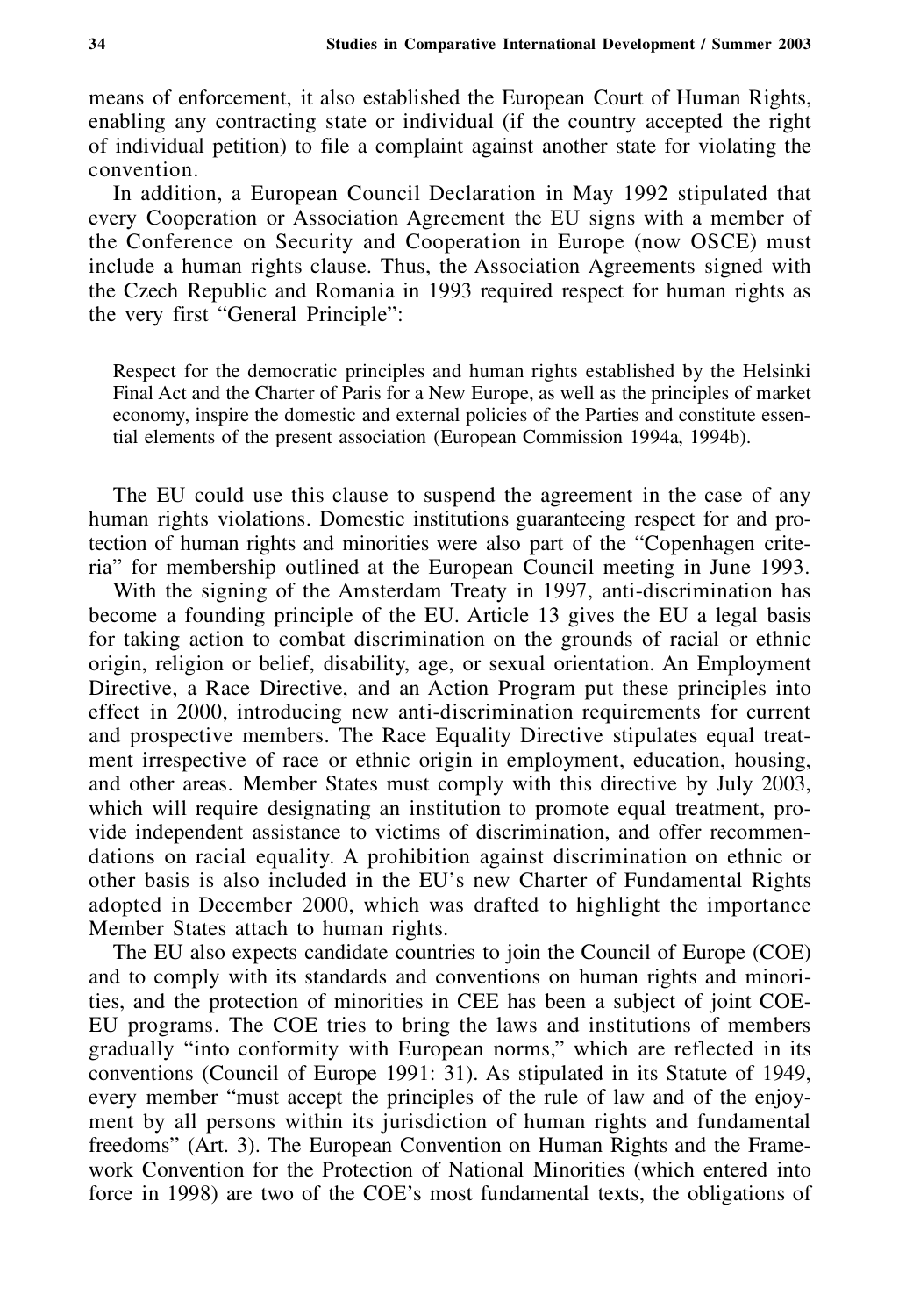means of enforcement, it also established the European Court of Human Rights, enabling any contracting state or individual (if the country accepted the right of individual petition) to file a complaint against another state for violating the convention.

In addition, a European Council Declaration in May 1992 stipulated that every Cooperation or Association Agreement the EU signs with a member of the Conference on Security and Cooperation in Europe (now OSCE) must include a human rights clause. Thus, the Association Agreements signed with the Czech Republic and Romania in 1993 required respect for human rights as the very first "General Principle":

Respect for the democratic principles and human rights established by the Helsinki Final Act and the Charter of Paris for a New Europe, as well as the principles of market economy, inspire the domestic and external policies of the Parties and constitute essential elements of the present association (European Commission 1994a, 1994b).

The EU could use this clause to suspend the agreement in the case of any human rights violations. Domestic institutions guaranteeing respect for and protection of human rights and minorities were also part of the "Copenhagen criteria" for membership outlined at the European Council meeting in June 1993.

With the signing of the Amsterdam Treaty in 1997, anti-discrimination has become a founding principle of the EU. Article 13 gives the EU a legal basis for taking action to combat discrimination on the grounds of racial or ethnic origin, religion or belief, disability, age, or sexual orientation. An Employment Directive, a Race Directive, and an Action Program put these principles into effect in 2000, introducing new anti-discrimination requirements for current and prospective members. The Race Equality Directive stipulates equal treatment irrespective of race or ethnic origin in employment, education, housing, and other areas. Member States must comply with this directive by July 2003, which will require designating an institution to promote equal treatment, provide independent assistance to victims of discrimination, and offer recommendations on racial equality. A prohibition against discrimination on ethnic or other basis is also included in the EU's new Charter of Fundamental Rights adopted in December 2000, which was drafted to highlight the importance Member States attach to human rights.

The EU also expects candidate countries to join the Council of Europe (COE) and to comply with its standards and conventions on human rights and minorities, and the protection of minorities in CEE has been a subject of joint COE-EU programs. The COE tries to bring the laws and institutions of members gradually "into conformity with European norms," which are reflected in its conventions (Council of Europe 1991: 31). As stipulated in its Statute of 1949, every member "must accept the principles of the rule of law and of the enjoyment by all persons within its jurisdiction of human rights and fundamental freedoms" (Art. 3). The European Convention on Human Rights and the Framework Convention for the Protection of National Minorities (which entered into force in 1998) are two of the COE's most fundamental texts, the obligations of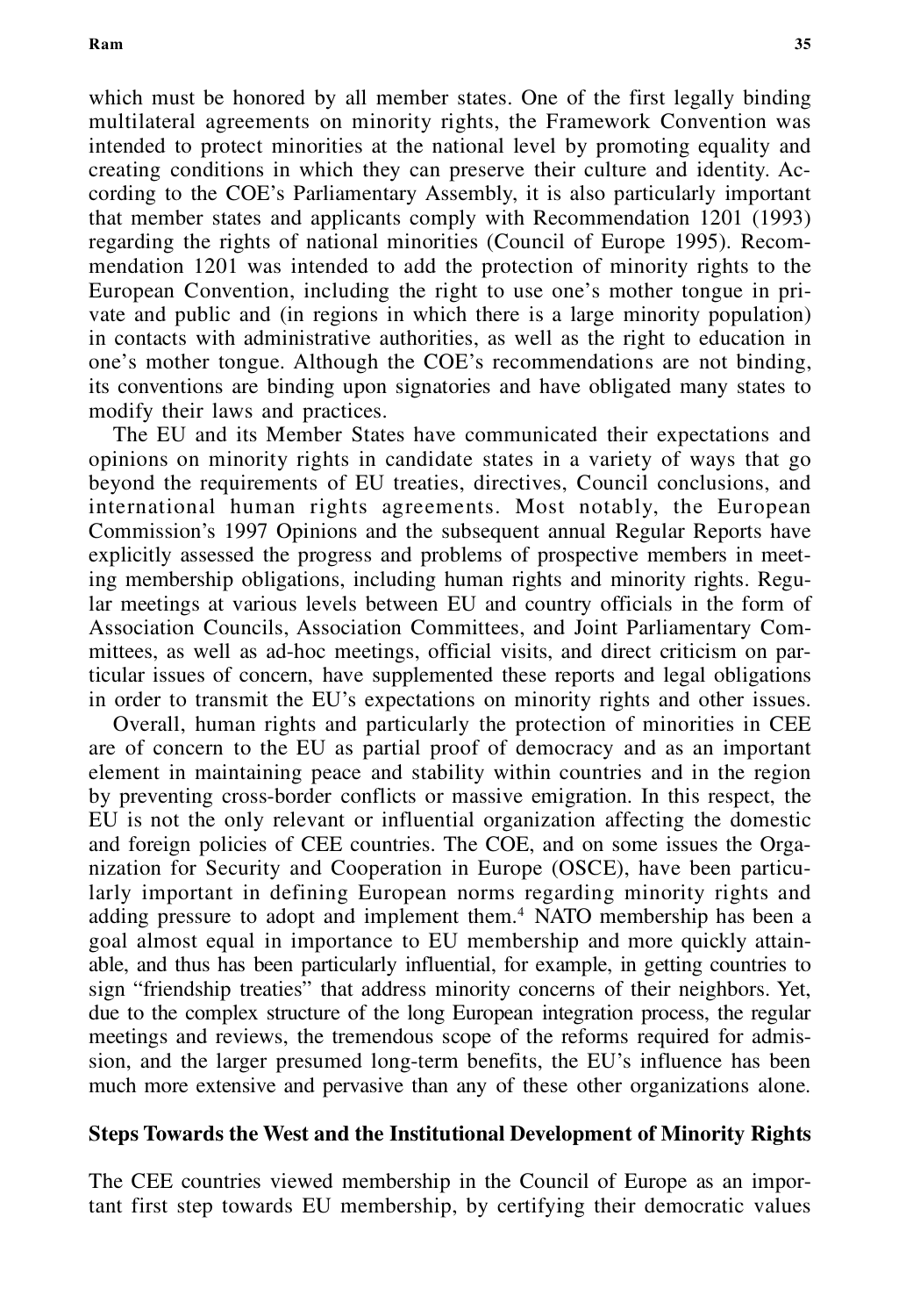which must be honored by all member states. One of the first legally binding multilateral agreements on minority rights, the Framework Convention was intended to protect minorities at the national level by promoting equality and creating conditions in which they can preserve their culture and identity. According to the COE's Parliamentary Assembly, it is also particularly important that member states and applicants comply with Recommendation 1201 (1993) regarding the rights of national minorities (Council of Europe 1995). Recommendation 1201 was intended to add the protection of minority rights to the European Convention, including the right to use one's mother tongue in private and public and (in regions in which there is a large minority population) in contacts with administrative authorities, as well as the right to education in one's mother tongue. Although the COE's recommendations are not binding, its conventions are binding upon signatories and have obligated many states to modify their laws and practices.

The EU and its Member States have communicated their expectations and opinions on minority rights in candidate states in a variety of ways that go beyond the requirements of EU treaties, directives, Council conclusions, and international human rights agreements. Most notably, the European Commission's 1997 Opinions and the subsequent annual Regular Reports have explicitly assessed the progress and problems of prospective members in meeting membership obligations, including human rights and minority rights. Regular meetings at various levels between EU and country officials in the form of Association Councils, Association Committees, and Joint Parliamentary Committees, as well as ad-hoc meetings, official visits, and direct criticism on particular issues of concern, have supplemented these reports and legal obligations in order to transmit the EU's expectations on minority rights and other issues.

Overall, human rights and particularly the protection of minorities in CEE are of concern to the EU as partial proof of democracy and as an important element in maintaining peace and stability within countries and in the region by preventing cross-border conflicts or massive emigration. In this respect, the EU is not the only relevant or influential organization affecting the domestic and foreign policies of CEE countries. The COE, and on some issues the Organization for Security and Cooperation in Europe (OSCE), have been particularly important in defining European norms regarding minority rights and adding pressure to adopt and implement them.<sup>4</sup> NATO membership has been a goal almost equal in importance to EU membership and more quickly attainable, and thus has been particularly influential, for example, in getting countries to sign "friendship treaties" that address minority concerns of their neighbors. Yet, due to the complex structure of the long European integration process, the regular meetings and reviews, the tremendous scope of the reforms required for admission, and the larger presumed long-term benefits, the EU's influence has been much more extensive and pervasive than any of these other organizations alone.

#### **Steps Towards the West and the Institutional Development of Minority Rights**

The CEE countries viewed membership in the Council of Europe as an important first step towards EU membership, by certifying their democratic values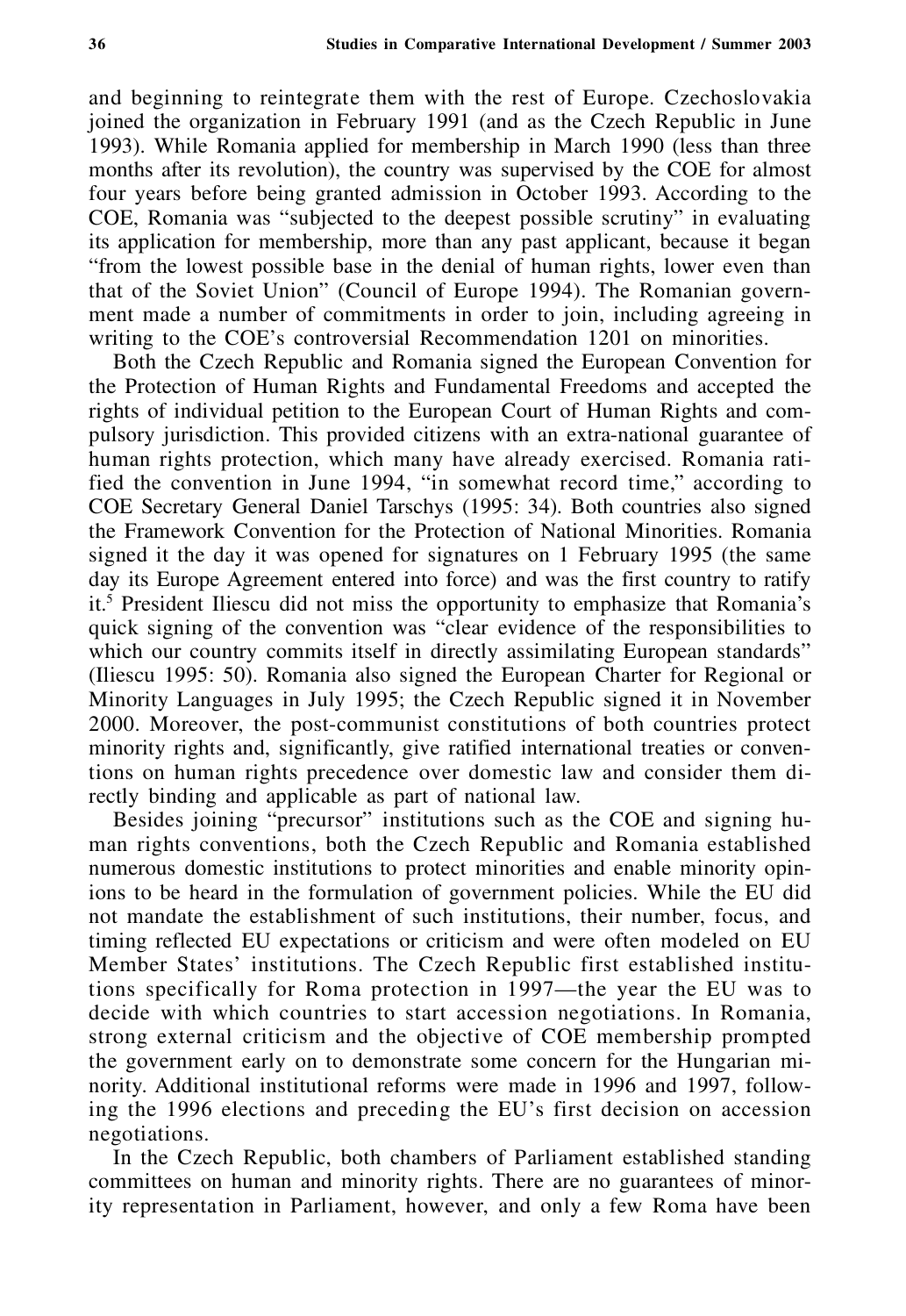and beginning to reintegrate them with the rest of Europe. Czechoslovakia joined the organization in February 1991 (and as the Czech Republic in June 1993). While Romania applied for membership in March 1990 (less than three months after its revolution), the country was supervised by the COE for almost four years before being granted admission in October 1993. According to the COE, Romania was "subjected to the deepest possible scrutiny" in evaluating its application for membership, more than any past applicant, because it began "from the lowest possible base in the denial of human rights, lower even than that of the Soviet Union" (Council of Europe 1994). The Romanian government made a number of commitments in order to join, including agreeing in writing to the COE's controversial Recommendation 1201 on minorities.

Both the Czech Republic and Romania signed the European Convention for the Protection of Human Rights and Fundamental Freedoms and accepted the rights of individual petition to the European Court of Human Rights and compulsory jurisdiction. This provided citizens with an extra-national guarantee of human rights protection, which many have already exercised. Romania ratified the convention in June 1994, "in somewhat record time," according to COE Secretary General Daniel Tarschys (1995: 34). Both countries also signed the Framework Convention for the Protection of National Minorities. Romania signed it the day it was opened for signatures on 1 February 1995 (the same day its Europe Agreement entered into force) and was the first country to ratify  $it<sup>5</sup>$  President Iliescu did not miss the opportunity to emphasize that Romania's quick signing of the convention was "clear evidence of the responsibilities to which our country commits itself in directly assimilating European standards" (Iliescu 1995: 50). Romania also signed the European Charter for Regional or Minority Languages in July 1995; the Czech Republic signed it in November 2000. Moreover, the post-communist constitutions of both countries protect minority rights and, significantly, give ratified international treaties or conventions on human rights precedence over domestic law and consider them directly binding and applicable as part of national law.

Besides joining "precursor" institutions such as the COE and signing human rights conventions, both the Czech Republic and Romania established numerous domestic institutions to protect minorities and enable minority opinions to be heard in the formulation of government policies. While the EU did not mandate the establishment of such institutions, their number, focus, and timing reflected EU expectations or criticism and were often modeled on EU Member States' institutions. The Czech Republic first established institutions specifically for Roma protection in 1997—the year the EU was to decide with which countries to start accession negotiations. In Romania, strong external criticism and the objective of COE membership prompted the government early on to demonstrate some concern for the Hungarian minority. Additional institutional reforms were made in 1996 and 1997, following the 1996 elections and preceding the EU's first decision on accession negotiations.

In the Czech Republic, both chambers of Parliament established standing committees on human and minority rights. There are no guarantees of minority representation in Parliament, however, and only a few Roma have been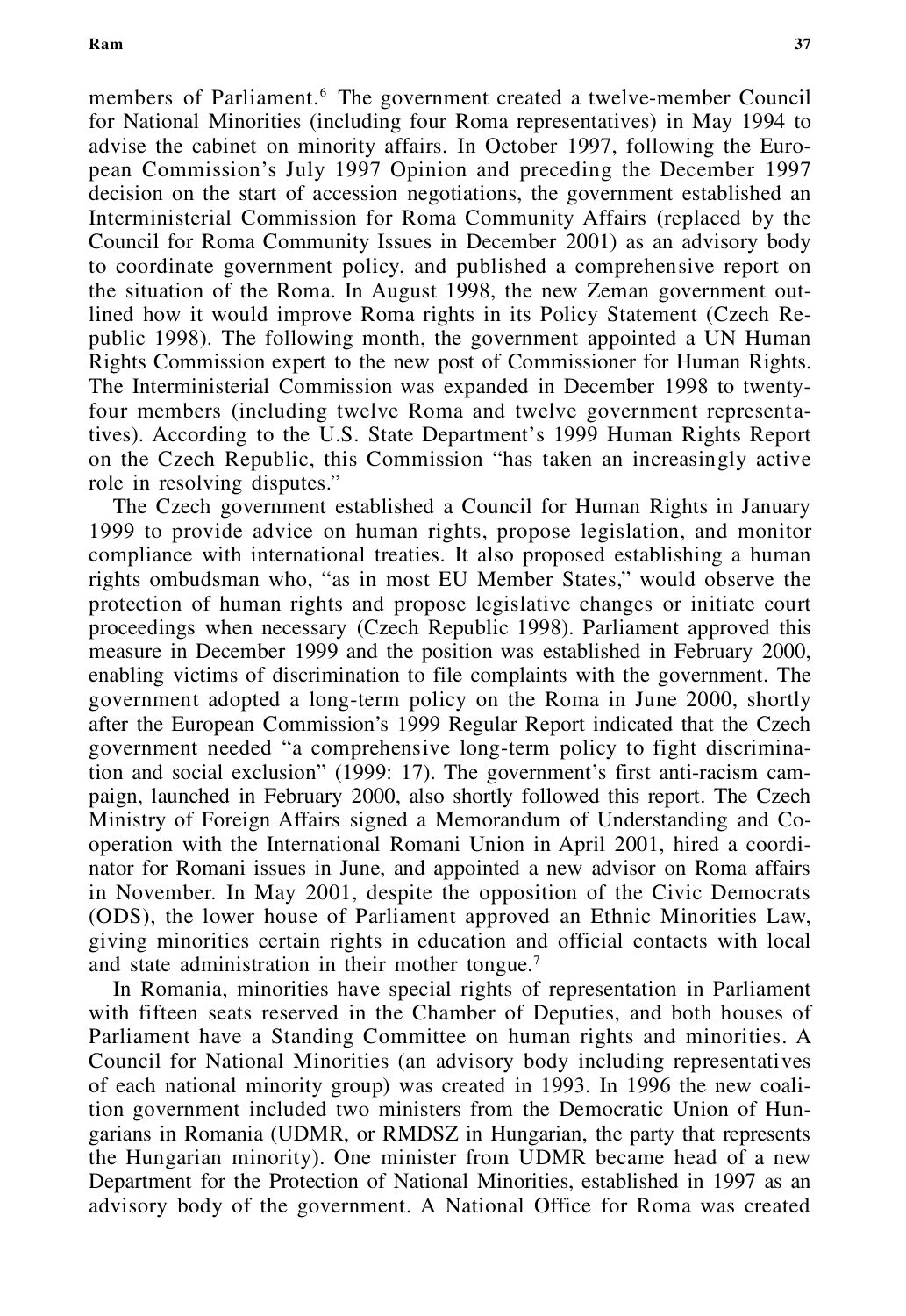members of Parliament.<sup>6</sup> The government created a twelve-member Council for National Minorities (including four Roma representatives) in May 1994 to advise the cabinet on minority affairs. In October 1997, following the European Commission's July 1997 Opinion and preceding the December 1997 decision on the start of accession negotiations, the government established an Interministerial Commission for Roma Community Affairs (replaced by the Council for Roma Community Issues in December 2001) as an advisory body to coordinate government policy, and published a comprehensive report on the situation of the Roma. In August 1998, the new Zeman government outlined how it would improve Roma rights in its Policy Statement (Czech Republic 1998). The following month, the government appointed a UN Human Rights Commission expert to the new post of Commissioner for Human Rights. The Interministerial Commission was expanded in December 1998 to twentyfour members (including twelve Roma and twelve government representatives). According to the U.S. State Department's 1999 Human Rights Report on the Czech Republic, this Commission "has taken an increasingly active role in resolving disputes."

The Czech government established a Council for Human Rights in January 1999 to provide advice on human rights, propose legislation, and monitor compliance with international treaties. It also proposed establishing a human rights ombudsman who, "as in most EU Member States," would observe the protection of human rights and propose legislative changes or initiate court proceedings when necessary (Czech Republic 1998). Parliament approved this measure in December 1999 and the position was established in February 2000, enabling victims of discrimination to file complaints with the government. The government adopted a long-term policy on the Roma in June 2000, shortly after the European Commission's 1999 Regular Report indicated that the Czech government needed "a comprehensive long-term policy to fight discrimination and social exclusion" (1999: 17). The government's first anti-racism campaign, launched in February 2000, also shortly followed this report. The Czech Ministry of Foreign Affairs signed a Memorandum of Understanding and Cooperation with the International Romani Union in April 2001, hired a coordinator for Romani issues in June, and appointed a new advisor on Roma affairs in November. In May 2001, despite the opposition of the Civic Democrats (ODS), the lower house of Parliament approved an Ethnic Minorities Law, giving minorities certain rights in education and official contacts with local and state administration in their mother tongue.<sup>7</sup>

In Romania, minorities have special rights of representation in Parliament with fifteen seats reserved in the Chamber of Deputies, and both houses of Parliament have a Standing Committee on human rights and minorities. A Council for National Minorities (an advisory body including representatives of each national minority group) was created in 1993. In 1996 the new coalition government included two ministers from the Democratic Union of Hungarians in Romania (UDMR, or RMDSZ in Hungarian, the party that represents the Hungarian minority). One minister from UDMR became head of a new Department for the Protection of National Minorities, established in 1997 as an advisory body of the government. A National Office for Roma was created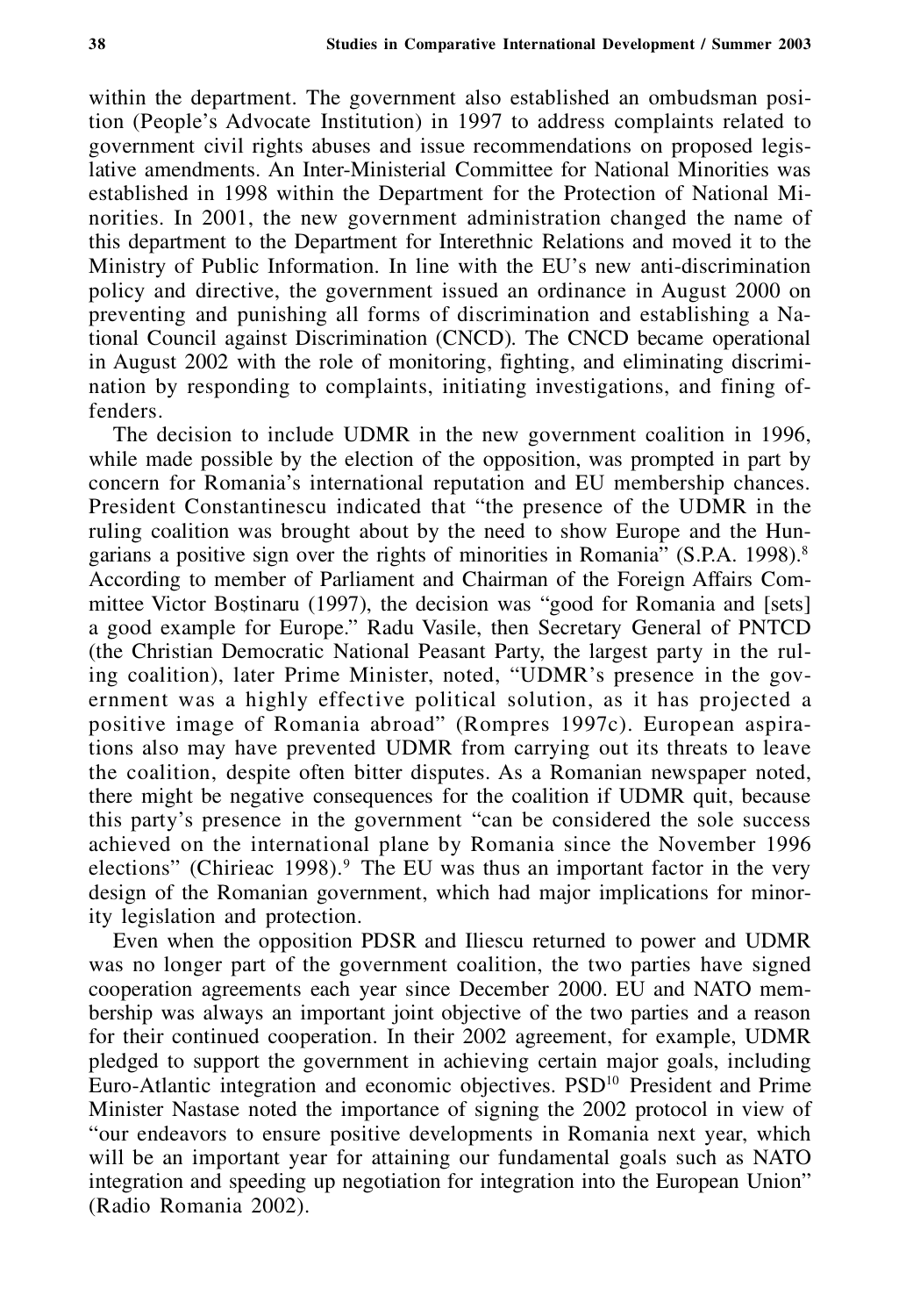within the department. The government also established an ombudsman position (People's Advocate Institution) in 1997 to address complaints related to government civil rights abuses and issue recommendations on proposed legislative amendments. An Inter-Ministerial Committee for National Minorities was established in 1998 within the Department for the Protection of National Minorities. In 2001, the new government administration changed the name of this department to the Department for Interethnic Relations and moved it to the Ministry of Public Information. In line with the EU's new anti-discrimination policy and directive, the government issued an ordinance in August 2000 on preventing and punishing all forms of discrimination and establishing a National Council against Discrimination (CNCD). The CNCD became operational in August 2002 with the role of monitoring, fighting, and eliminating discrimination by responding to complaints, initiating investigations, and fining offenders.

The decision to include UDMR in the new government coalition in 1996, while made possible by the election of the opposition, was prompted in part by concern for Romania's international reputation and EU membership chances. President Constantinescu indicated that "the presence of the UDMR in the ruling coalition was brought about by the need to show Europe and the Hungarians a positive sign over the rights of minorities in Romania" (S.P.A. 1998).<sup>8</sup> According to member of Parliament and Chairman of the Foreign Affairs Committee Victor Bostinaru (1997), the decision was "good for Romania and [sets] ,a good example for Europe." Radu Vasile, then Secretary General of PNTCD (the Christian Democratic National Peasant Party, the largest party in the ruling coalition), later Prime Minister, noted, "UDMR's presence in the government was a highly effective political solution, as it has projected a positive image of Romania abroad" (Rompres 1997c). European aspirations also may have prevented UDMR from carrying out its threats to leave the coalition, despite often bitter disputes. As a Romanian newspaper noted, there might be negative consequences for the coalition if UDMR quit, because this party's presence in the government "can be considered the sole success achieved on the international plane by Romania since the November 1996 elections" (Chirieac 1998). $9$  The EU was thus an important factor in the very design of the Romanian government, which had major implications for minority legislation and protection.

Even when the opposition PDSR and Iliescu returned to power and UDMR was no longer part of the government coalition, the two parties have signed cooperation agreements each year since December 2000. EU and NATO membership was always an important joint objective of the two parties and a reason for their continued cooperation. In their 2002 agreement, for example, UDMR pledged to support the government in achieving certain major goals, including Euro-Atlantic integration and economic objectives. PSD<sup>10</sup> President and Prime Minister Nastase noted the importance of signing the 2002 protocol in view of "our endeavors to ensure positive developments in Romania next year, which will be an important year for attaining our fundamental goals such as NATO integration and speeding up negotiation for integration into the European Union" (Radio Romania 2002).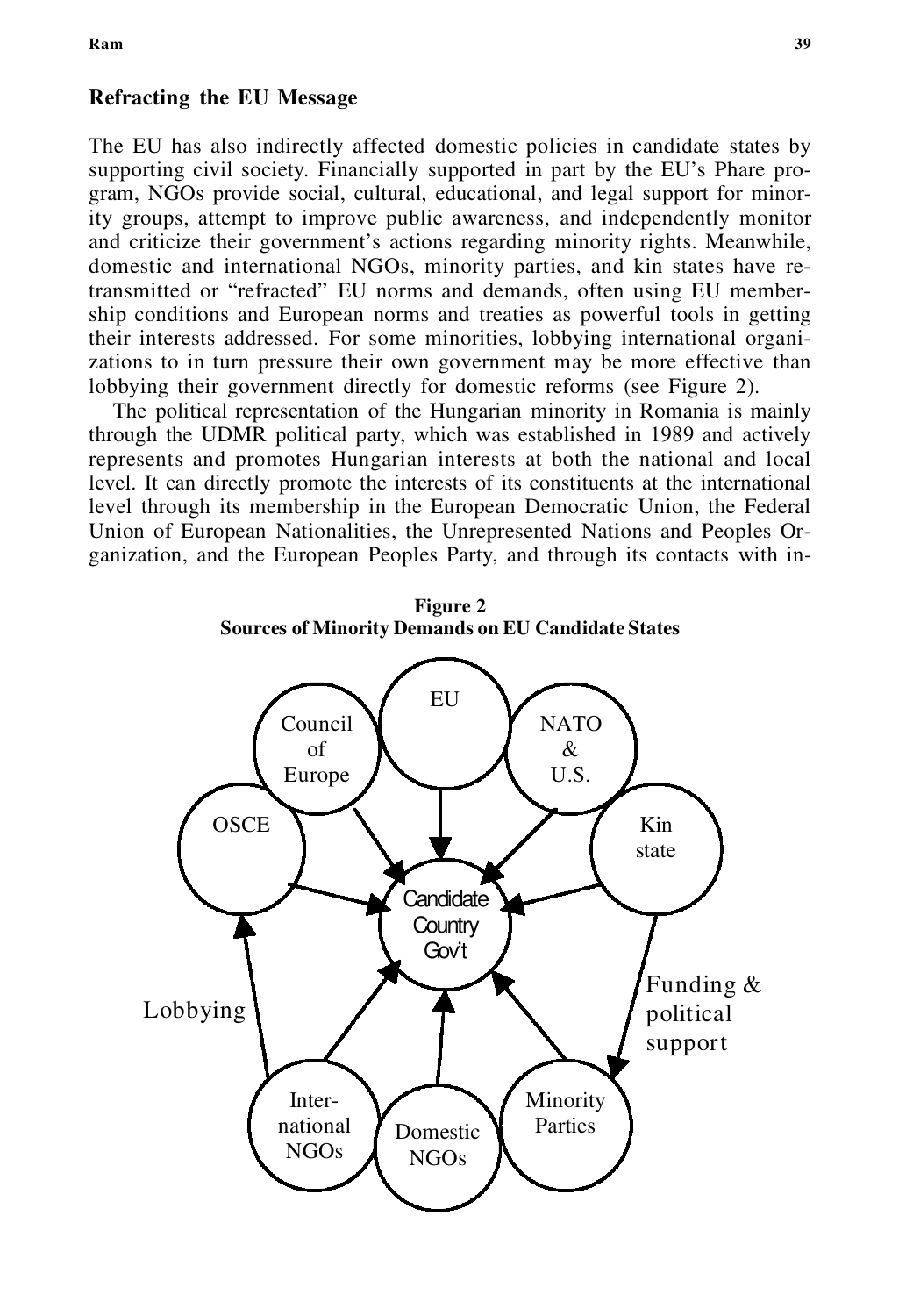The EU has also indirectly affected domestic policies in candidate states by supporting civil society. Financially supported in part by the EU's Phare program, NGOs provide social, cultural, educational, and legal support for minority groups, attempt to improve public awareness, and independently monitor and criticize their government's actions regarding minority rights. Meanwhile, domestic and international NGOs, minority parties, and kin states have retransmitted or "refracted" EU norms and demands, often using EU membership conditions and European norms and treaties as powerful tools in getting their interests addressed. For some minorities, lobbying international organizations to in turn pressure their own government may be more effective than lobbying their government directly for domestic reforms (see Figure 2).

The political representation of the Hungarian minority in Romania is mainly through the UDMR political party, which was established in 1989 and actively represents and promotes Hungarian interests at both the national and local level. It can directly promote the interests of its constituents at the international level through its membership in the European Democratic Union, the Federal Union of European Nationalities, the Unrepresented Nations and Peoples Organization, and the European Peoples Party, and through its contacts with in-



**Figure 2**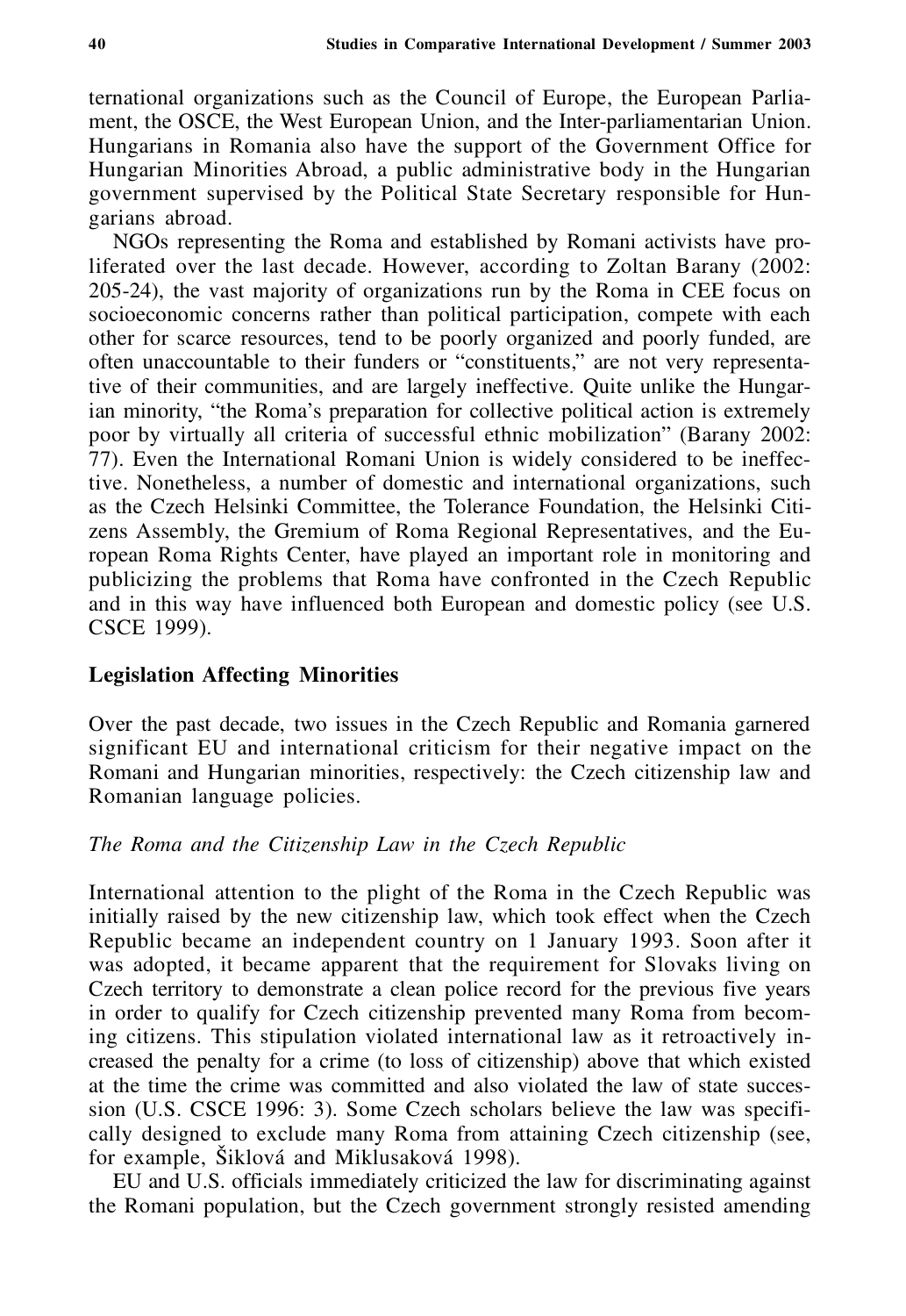ternational organizations such as the Council of Europe, the European Parliament, the OSCE, the West European Union, and the Inter-parliamentarian Union. Hungarians in Romania also have the support of the Government Office for Hungarian Minorities Abroad, a public administrative body in the Hungarian government supervised by the Political State Secretary responsible for Hungarians abroad.

NGOs representing the Roma and established by Romani activists have proliferated over the last decade. However, according to Zoltan Barany (2002: 205-24), the vast majority of organizations run by the Roma in CEE focus on socioeconomic concerns rather than political participation, compete with each other for scarce resources, tend to be poorly organized and poorly funded, are often unaccountable to their funders or "constituents," are not very representative of their communities, and are largely ineffective. Quite unlike the Hungarian minority, "the Roma's preparation for collective political action is extremely poor by virtually all criteria of successful ethnic mobilization" (Barany 2002: 77). Even the International Romani Union is widely considered to be ineffective. Nonetheless, a number of domestic and international organizations, such as the Czech Helsinki Committee, the Tolerance Foundation, the Helsinki Citizens Assembly, the Gremium of Roma Regional Representatives, and the European Roma Rights Center, have played an important role in monitoring and publicizing the problems that Roma have confronted in the Czech Republic and in this way have influenced both European and domestic policy (see U.S. CSCE 1999).

#### **Legislation Affecting Minorities**

Over the past decade, two issues in the Czech Republic and Romania garnered significant EU and international criticism for their negative impact on the Romani and Hungarian minorities, respectively: the Czech citizenship law and Romanian language policies.

#### *The Roma and the Citizenship Law in the Czech Republic*

International attention to the plight of the Roma in the Czech Republic was initially raised by the new citizenship law, which took effect when the Czech Republic became an independent country on 1 January 1993. Soon after it was adopted, it became apparent that the requirement for Slovaks living on Czech territory to demonstrate a clean police record for the previous five years in order to qualify for Czech citizenship prevented many Roma from becoming citizens. This stipulation violated international law as it retroactively increased the penalty for a crime (to loss of citizenship) above that which existed at the time the crime was committed and also violated the law of state succession (U.S. CSCE 1996: 3). Some Czech scholars believe the law was specifically designed to exclude many Roma from attaining Czech citizenship (see, for example, Šiklová and Miklusaková 1998).

EU and U.S. officials immediately criticized the law for discriminating against the Romani population, but the Czech government strongly resisted amending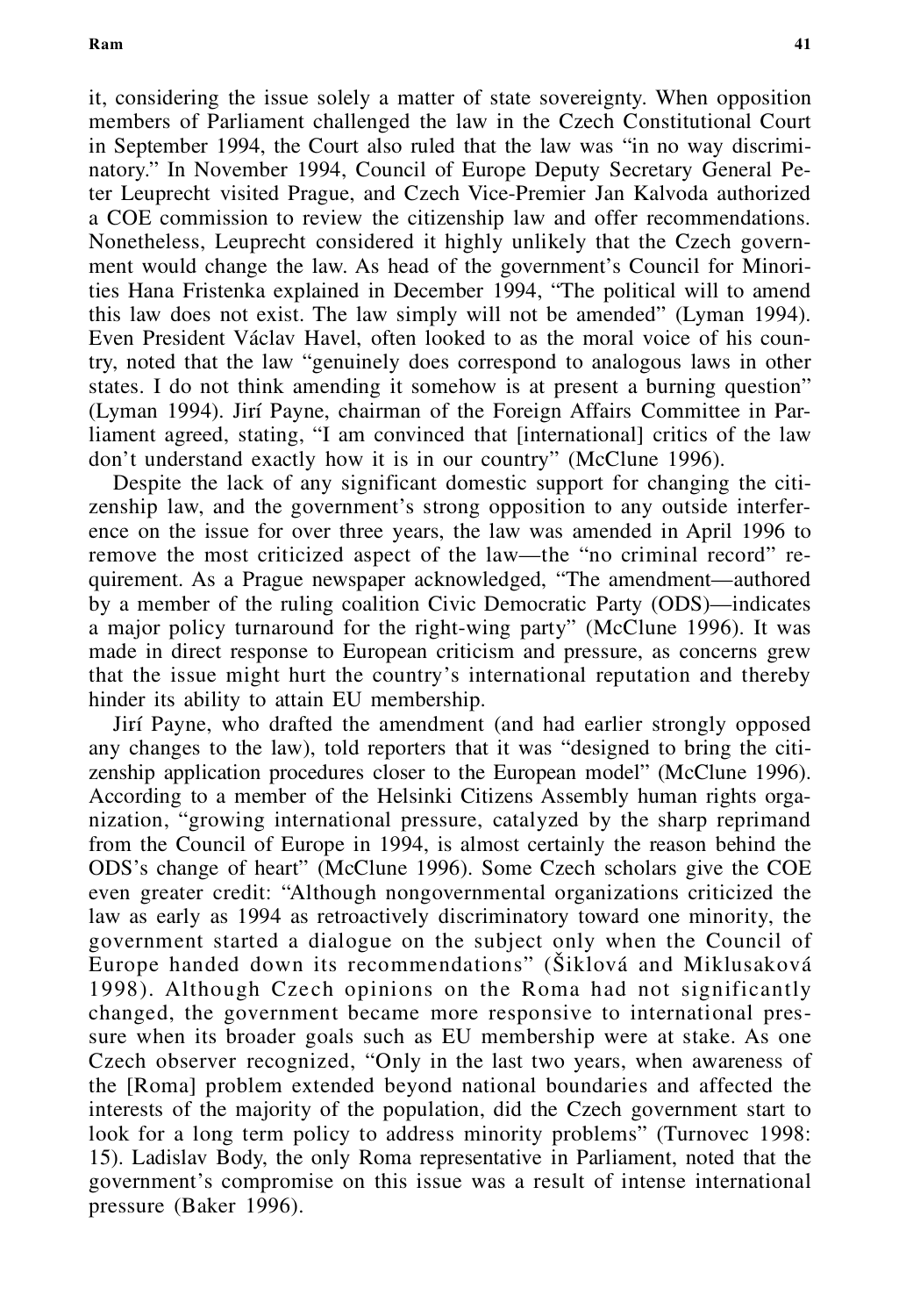it, considering the issue solely a matter of state sovereignty. When opposition members of Parliament challenged the law in the Czech Constitutional Court in September 1994, the Court also ruled that the law was "in no way discriminatory." In November 1994, Council of Europe Deputy Secretary General Peter Leuprecht visited Prague, and Czech Vice-Premier Jan Kalvoda authorized a COE commission to review the citizenship law and offer recommendations. Nonetheless, Leuprecht considered it highly unlikely that the Czech government would change the law. As head of the government's Council for Minorities Hana Fristenka explained in December 1994, "The political will to amend this law does not exist. The law simply will not be amended" (Lyman 1994). Even President Václav Havel, often looked to as the moral voice of his country, noted that the law "genuinely does correspond to analogous laws in other states. I do not think amending it somehow is at present a burning question" (Lyman 1994). Jirí Payne, chairman of the Foreign Affairs Committee in Par-ˆ liament agreed, stating, "I am convinced that [international] critics of the law don't understand exactly how it is in our country" (McClune 1996).

Despite the lack of any significant domestic support for changing the citizenship law, and the government's strong opposition to any outside interference on the issue for over three years, the law was amended in April 1996 to remove the most criticized aspect of the law—the "no criminal record" requirement. As a Prague newspaper acknowledged, "The amendment—authored by a member of the ruling coalition Civic Democratic Party (ODS)—indicates a major policy turnaround for the right-wing party" (McClune 1996). It was made in direct response to European criticism and pressure, as concerns grew that the issue might hurt the country's international reputation and thereby hinder its ability to attain EU membership.

Jirí Payne, who drafted the amendment (and had earlier strongly opposed ˆany changes to the law), told reporters that it was "designed to bring the citizenship application procedures closer to the European model" (McClune 1996). According to a member of the Helsinki Citizens Assembly human rights organization, "growing international pressure, catalyzed by the sharp reprimand from the Council of Europe in 1994, is almost certainly the reason behind the ODS's change of heart" (McClune 1996). Some Czech scholars give the COE even greater credit: "Although nongovernmental organizations criticized the law as early as 1994 as retroactively discriminatory toward one minority, the government started a dialogue on the subject only when the Council of Europe handed down its recommendations" (Šiklová and Miklusaková 1998). Although Czech opinions on the Roma had not significantly changed, the government became more responsive to international pres sure when its broader goals such as EU membership were at stake. As one Czech observer recognized, "Only in the last two years, when awareness of the [Roma] problem extended beyond national boundaries and affected the interests of the majority of the population, did the Czech government start to look for a long term policy to address minority problems" (Turnovec 1998: 15). Ladislav Body, the only Roma representative in Parliament, noted that the government's compromise on this issue was a result of intense international pressure (Baker 1996).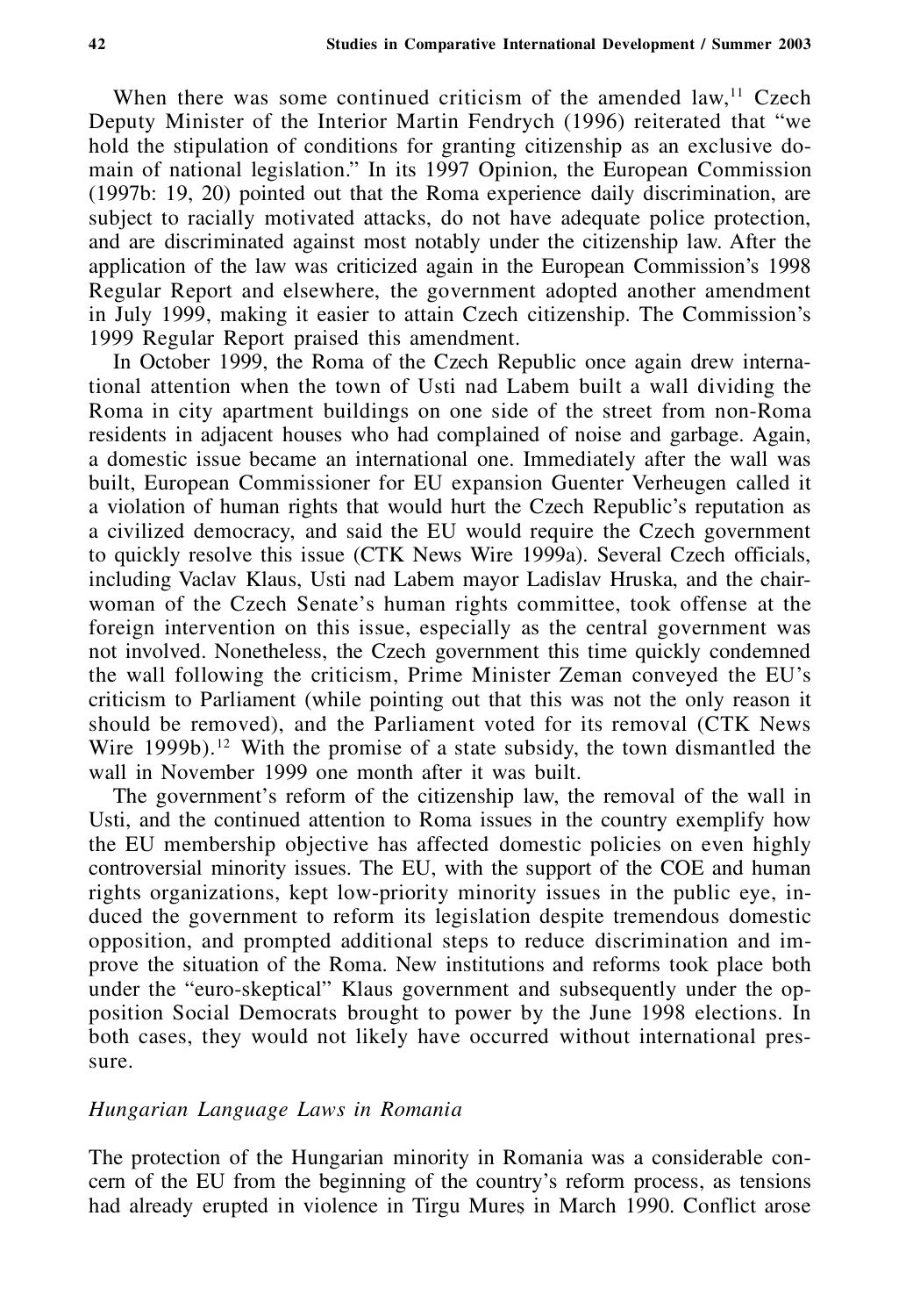When there was some continued criticism of the amended  $law$ <sup>11</sup>, Czech Deputy Minister of the Interior Martin Fendrych (1996) reiterated that "we hold the stipulation of conditions for granting citizenship as an exclusive domain of national legislation." In its 1997 Opinion, the European Commission (1997b: 19, 20) pointed out that the Roma experience daily discrimination, are subject to racially motivated attacks, do not have adequate police protection, and are discriminated against most notably under the citizenship law. After the application of the law was criticized again in the European Commission's 1998 Regular Report and elsewhere, the government adopted another amendment in July 1999, making it easier to attain Czech citizenship. The Commission's 1999 Regular Report praised this amendment.

In October 1999, the Roma of the Czech Republic once again drew international attention when the town of Usti nad Labem built a wall dividing the Roma in city apartment buildings on one side of the street from non-Roma residents in adjacent houses who had complained of noise and garbage. Again, a domestic issue became an international one. Immediately after the wall was built, European Commissioner for EU expansion Guenter Verheugen called it a violation of human rights that would hurt the Czech Republic's reputation as a civilized democracy, and said the EU would require the Czech government to quickly resolve this issue (CTK News Wire 1999a). Several Czech officials, including Vaclav Klaus, Usti nad Labem mayor Ladislav Hruska, and the chairwoman of the Czech Senate's human rights committee, took offense at the foreign intervention on this issue, especially as the central government was not involved. Nonetheless, the Czech government this time quickly condemned the wall following the criticism, Prime Minister Zeman conveyed the EU's criticism to Parliament (while pointing out that this was not the only reason it should be removed), and the Parliament voted for its removal (CTK News Wire  $1999b$ ).<sup>12</sup> With the promise of a state subsidy, the town dismantled the wall in November 1999 one month after it was built.

The government's reform of the citizenship law, the removal of the wall in Usti, and the continued attention to Roma issues in the country exemplify how the EU membership objective has affected domestic policies on even highly controversial minority issues. The EU, with the support of the COE and human rights organizations, kept low-priority minority issues in the public eye, induced the government to reform its legislation despite tremendous domestic opposition, and prompted additional steps to reduce discrimination and improve the situation of the Roma. New institutions and reforms took place both under the "euro-skeptical" Klaus government and subsequently under the opposition Social Democrats brought to power by the June 1998 elections. In both cases, they would not likely have occurred without international pressure.

#### *Hungarian Language Laws in Romania*

The protection of the Hungarian minority in Romania was a considerable concern of the EU from the beginning of the country's reform process, as tensions had already erupted in violence in Tirgu Mures in March 1990. Conflict arose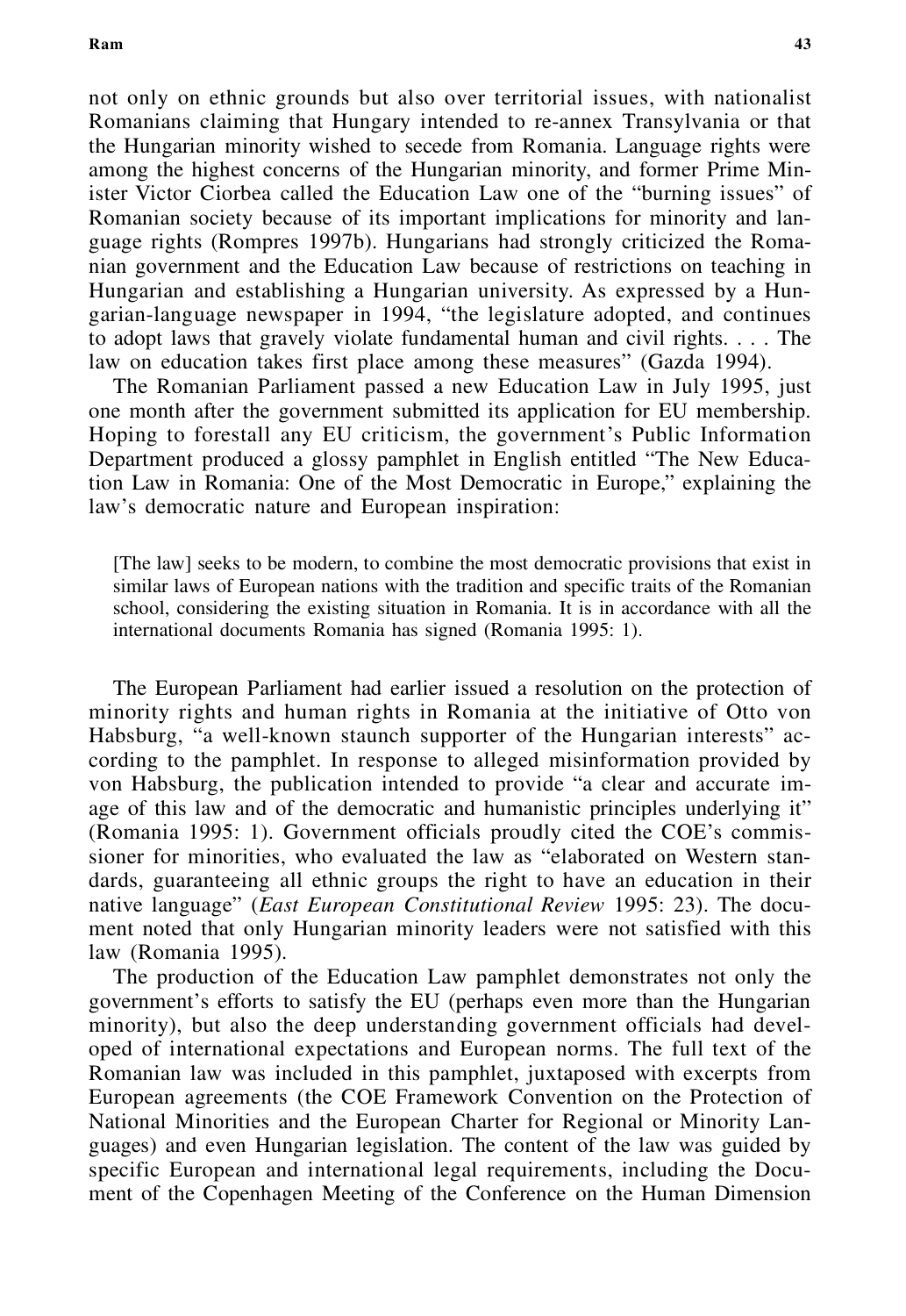**Ram 43**

not only on ethnic grounds but also over territorial issues, with nationalist Romanians claiming that Hungary intended to re-annex Transylvania or that the Hungarian minority wished to secede from Romania. Language rights were among the highest concerns of the Hungarian minority, and former Prime Minister Victor Ciorbea called the Education Law one of the "burning issues" of Romanian society because of its important implications for minority and language rights (Rompres 1997b). Hungarians had strongly criticized the Romanian government and the Education Law because of restrictions on teaching in Hungarian and establishing a Hungarian university. As expressed by a Hungarian-language newspaper in 1994, "the legislature adopted, and continues to adopt laws that gravely violate fundamental human and civil rights. . . . The law on education takes first place among these measures" (Gazda 1994).

The Romanian Parliament passed a new Education Law in July 1995, just one month after the government submitted its application for EU membership. Hoping to forestall any EU criticism, the government's Public Information Department produced a glossy pamphlet in English entitled "The New Education Law in Romania: One of the Most Democratic in Europe," explaining the law's democratic nature and European inspiration:

[The law] seeks to be modern, to combine the most democratic provisions that exist in similar laws of European nations with the tradition and specific traits of the Romanian school, considering the existing situation in Romania. It is in accordance with all the international documents Romania has signed (Romania 1995: 1).

The European Parliament had earlier issued a resolution on the protection of minority rights and human rights in Romania at the initiative of Otto von Habsburg, "a well-known staunch supporter of the Hungarian interests" according to the pamphlet. In response to alleged misinformation provided by von Habsburg, the publication intended to provide "a clear and accurate image of this law and of the democratic and humanistic principles underlying it" (Romania 1995: 1). Government officials proudly cited the COE's commissioner for minorities, who evaluated the law as "elaborated on Western standards, guaranteeing all ethnic groups the right to have an education in their native language" (*East European Constitutional Review* 1995: 23). The document noted that only Hungarian minority leaders were not satisfied with this law (Romania 1995).

The production of the Education Law pamphlet demonstrates not only the government's efforts to satisfy the EU (perhaps even more than the Hungarian minority), but also the deep understanding government officials had developed of international expectations and European norms. The full text of the Romanian law was included in this pamphlet, juxtaposed with excerpts from European agreements (the COE Framework Convention on the Protection of National Minorities and the European Charter for Regional or Minority Languages) and even Hungarian legislation. The content of the law was guided by specific European and international legal requirements, including the Document of the Copenhagen Meeting of the Conference on the Human Dimension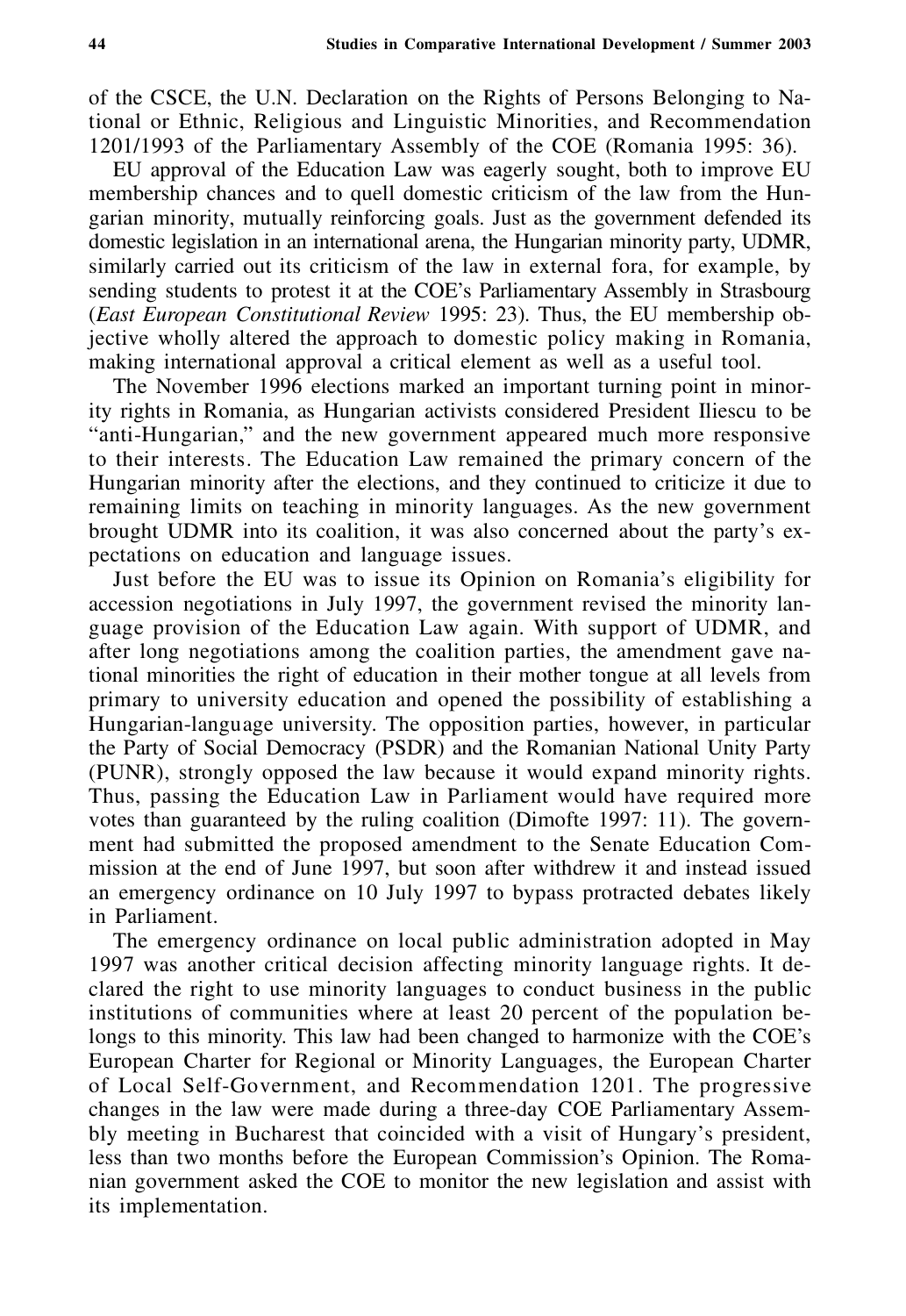of the CSCE, the U.N. Declaration on the Rights of Persons Belonging to National or Ethnic, Religious and Linguistic Minorities, and Recommendation 1201/1993 of the Parliamentary Assembly of the COE (Romania 1995: 36).

EU approval of the Education Law was eagerly sought, both to improve EU membership chances and to quell domestic criticism of the law from the Hungarian minority, mutually reinforcing goals. Just as the government defended its domestic legislation in an international arena, the Hungarian minority party, UDMR, similarly carried out its criticism of the law in external fora, for example, by sending students to protest it at the COE's Parliamentary Assembly in Strasbourg (*East European Constitutional Review* 1995: 23). Thus, the EU membership objective wholly altered the approach to domestic policy making in Romania, making international approval a critical element as well as a useful tool.

The November 1996 elections marked an important turning point in minority rights in Romania, as Hungarian activists considered President Iliescu to be "anti-Hungarian," and the new government appeared much more responsive to their interests. The Education Law remained the primary concern of the Hungarian minority after the elections, and they continued to criticize it due to remaining limits on teaching in minority languages. As the new government brought UDMR into its coalition, it was also concerned about the party's expectations on education and language issues.

Just before the EU was to issue its Opinion on Romania's eligibility for accession negotiations in July 1997, the government revised the minority language provision of the Education Law again. With support of UDMR, and after long negotiations among the coalition parties, the amendment gave national minorities the right of education in their mother tongue at all levels from primary to university education and opened the possibility of establishing a Hungarian-language university. The opposition parties, however, in particular the Party of Social Democracy (PSDR) and the Romanian National Unity Party (PUNR), strongly opposed the law because it would expand minority rights. Thus, passing the Education Law in Parliament would have required more votes than guaranteed by the ruling coalition (Dimofte 1997: 11). The government had submitted the proposed amendment to the Senate Education Commission at the end of June 1997, but soon after withdrew it and instead issued an emergency ordinance on 10 July 1997 to bypass protracted debates likely in Parliament.

The emergency ordinance on local public administration adopted in May 1997 was another critical decision affecting minority language rights. It declared the right to use minority languages to conduct business in the public institutions of communities where at least 20 percent of the population belongs to this minority. This law had been changed to harmonize with the COE's European Charter for Regional or Minority Languages, the European Charter of Local Self-Government, and Recommendation 1201. The progressive changes in the law were made during a three-day COE Parliamentary Assembly meeting in Bucharest that coincided with a visit of Hungary's president, less than two months before the European Commission's Opinion. The Romanian government asked the COE to monitor the new legislation and assist with its implementation.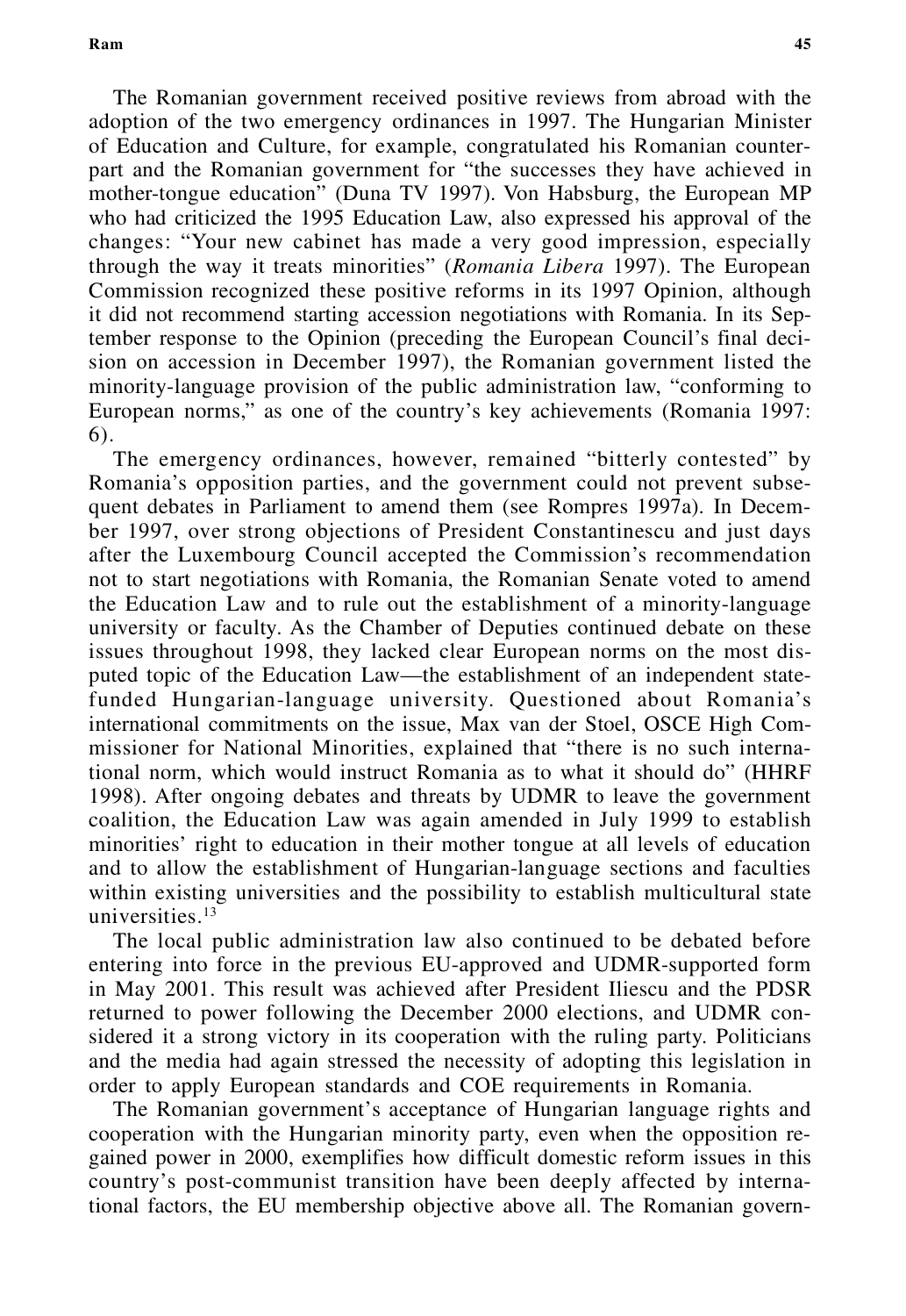The Romanian government received positive reviews from abroad with the adoption of the two emergency ordinances in 1997. The Hungarian Minister of Education and Culture, for example, congratulated his Romanian counterpart and the Romanian government for "the successes they have achieved in mother-tongue education" (Duna TV 1997). Von Habsburg, the European MP who had criticized the 1995 Education Law, also expressed his approval of the changes: "Your new cabinet has made a very good impression, especially through the way it treats minorities" (*Romania Libera* 1997). The European Commission recognized these positive reforms in its 1997 Opinion, although it did not recommend starting accession negotiations with Romania. In its September response to the Opinion (preceding the European Council's final decision on accession in December 1997), the Romanian government listed the minority-language provision of the public administration law, "conforming to European norms," as one of the country's key achievements (Romania 1997: 6).

The emergency ordinances, however, remained "bitterly contested" by Romania's opposition parties, and the government could not prevent subsequent debates in Parliament to amend them (see Rompres 1997a). In December 1997, over strong objections of President Constantinescu and just days after the Luxembourg Council accepted the Commission's recommendation not to start negotiations with Romania, the Romanian Senate voted to amend the Education Law and to rule out the establishment of a minority-language university or faculty. As the Chamber of Deputies continued debate on these issues throughout 1998, they lacked clear European norms on the most disputed topic of the Education Law—the establishment of an independent statefunded Hungarian-language university. Questioned about Romania's international commitments on the issue, Max van der Stoel, OSCE High Commissioner for National Minorities, explained that "there is no such international norm, which would instruct Romania as to what it should do" (HHRF 1998). After ongoing debates and threats by UDMR to leave the government coalition, the Education Law was again amended in July 1999 to establish minorities' right to education in their mother tongue at all levels of education and to allow the establishment of Hungarian-language sections and faculties within existing universities and the possibility to establish multicultural state universities.<sup>13</sup>

The local public administration law also continued to be debated before entering into force in the previous EU-approved and UDMR-supported form in May 2001. This result was achieved after President Iliescu and the PDSR returned to power following the December 2000 elections, and UDMR considered it a strong victory in its cooperation with the ruling party. Politicians and the media had again stressed the necessity of adopting this legislation in order to apply European standards and COE requirements in Romania.

The Romanian government's acceptance of Hungarian language rights and cooperation with the Hungarian minority party, even when the opposition regained power in 2000, exemplifies how difficult domestic reform issues in this country's post-communist transition have been deeply affected by international factors, the EU membership objective above all. The Romanian govern-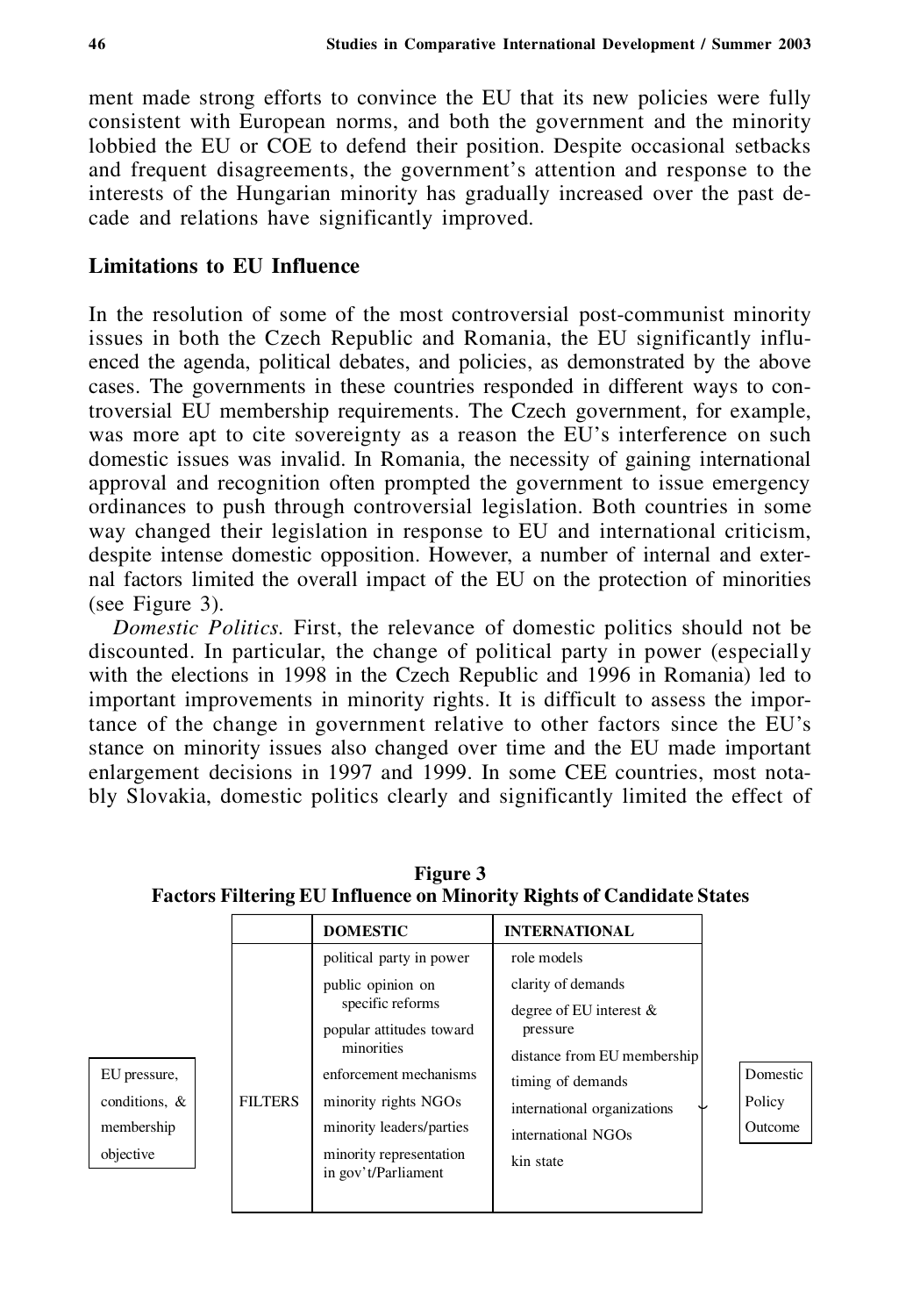ment made strong efforts to convince the EU that its new policies were fully consistent with European norms, and both the government and the minority lobbied the EU or COE to defend their position. Despite occasional setbacks and frequent disagreements, the government's attention and response to the interests of the Hungarian minority has gradually increased over the past decade and relations have significantly improved.

#### **Limitations to EU Influence**

In the resolution of some of the most controversial post-communist minority issues in both the Czech Republic and Romania, the EU significantly influenced the agenda, political debates, and policies, as demonstrated by the above cases. The governments in these countries responded in different ways to controversial EU membership requirements. The Czech government, for example, was more apt to cite sovereignty as a reason the EU's interference on such domestic issues was invalid. In Romania, the necessity of gaining international approval and recognition often prompted the government to issue emergency ordinances to push through controversial legislation. Both countries in some way changed their legislation in response to EU and international criticism, despite intense domestic opposition. However, a number of internal and external factors limited the overall impact of the EU on the protection of minorities (see Figure 3).

*Domestic Politics.* First, the relevance of domestic politics should not be discounted. In particular, the change of political party in power (especially with the elections in 1998 in the Czech Republic and 1996 in Romania) led to important improvements in minority rights. It is difficult to assess the importance of the change in government relative to other factors since the EU's stance on minority issues also changed over time and the EU made important enlargement decisions in 1997 and 1999. In some CEE countries, most notably Slovakia, domestic politics clearly and significantly limited the effect of

|                                                          |                | <b>DOMESTIC</b>                                                                                                                       | <b>INTERNATIONAL</b>                                                                                                                                                                              |                               |
|----------------------------------------------------------|----------------|---------------------------------------------------------------------------------------------------------------------------------------|---------------------------------------------------------------------------------------------------------------------------------------------------------------------------------------------------|-------------------------------|
| EU pressure,<br>conditions, &<br>membership<br>objective |                | political party in power<br>public opinion on<br>specific reforms<br>popular attitudes toward<br>minorities<br>enforcement mechanisms | role models<br>clarity of demands<br>degree of EU interest $\&$<br>pressure<br>distance from EU membership<br>timing of demands<br>international organizations<br>international NGOs<br>kin state | Domestic<br>Policy<br>Outcome |
|                                                          | <b>FILTERS</b> | minority rights NGOs<br>minority leaders/parties<br>minority representation<br>in gov't/Parliament                                    |                                                                                                                                                                                                   |                               |

**Figure 3 Factors Filtering EU Influence on Minority Rights of Candidate States**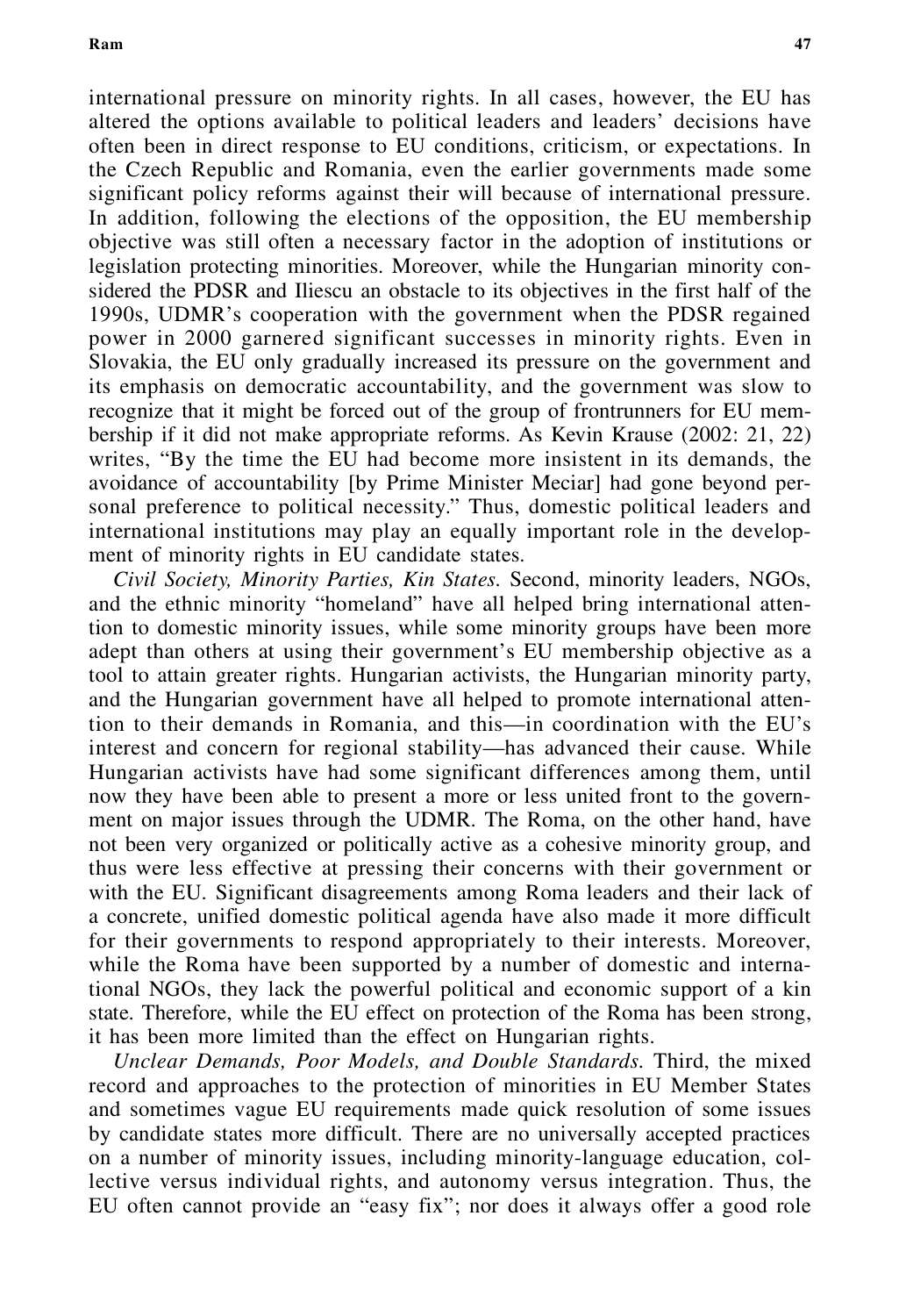international pressure on minority rights. In all cases, however, the EU has altered the options available to political leaders and leaders' decisions have often been in direct response to EU conditions, criticism, or expectations. In the Czech Republic and Romania, even the earlier governments made some significant policy reforms against their will because of international pressure. In addition, following the elections of the opposition, the EU membership objective was still often a necessary factor in the adoption of institutions or legislation protecting minorities. Moreover, while the Hungarian minority considered the PDSR and Iliescu an obstacle to its objectives in the first half of the 1990s, UDMR's cooperation with the government when the PDSR regained power in 2000 garnered significant successes in minority rights. Even in Slovakia, the EU only gradually increased its pressure on the government and its emphasis on democratic accountability, and the government was slow to recognize that it might be forced out of the group of frontrunners for EU membership if it did not make appropriate reforms. As Kevin Krause (2002: 21, 22) writes, "By the time the EU had become more insistent in its demands, the avoidance of accountability [by Prime Minister Meciar] had gone beyond personal preference to political necessity." Thus, domestic political leaders and international institutions may play an equally important role in the development of minority rights in EU candidate states.

*Civil Society, Minority Parties, Kin States.* Second, minority leaders, NGOs, and the ethnic minority "homeland" have all helped bring international attention to domestic minority issues, while some minority groups have been more adept than others at using their government's EU membership objective as a tool to attain greater rights. Hungarian activists, the Hungarian minority party, and the Hungarian government have all helped to promote international attention to their demands in Romania, and this—in coordination with the EU's interest and concern for regional stability—has advanced their cause. While Hungarian activists have had some significant differences among them, until now they have been able to present a more or less united front to the government on major issues through the UDMR. The Roma, on the other hand, have not been very organized or politically active as a cohesive minority group, and thus were less effective at pressing their concerns with their government or with the EU. Significant disagreements among Roma leaders and their lack of a concrete, unified domestic political agenda have also made it more difficult for their governments to respond appropriately to their interests. Moreover, while the Roma have been supported by a number of domestic and international NGOs, they lack the powerful political and economic support of a kin state. Therefore, while the EU effect on protection of the Roma has been strong, it has been more limited than the effect on Hungarian rights.

*Unclear Demands, Poor Models, and Double Standards.* Third, the mixed record and approaches to the protection of minorities in EU Member States and sometimes vague EU requirements made quick resolution of some issues by candidate states more difficult. There are no universally accepted practices on a number of minority issues, including minority-language education, collective versus individual rights, and autonomy versus integration. Thus, the EU often cannot provide an "easy fix"; nor does it always offer a good role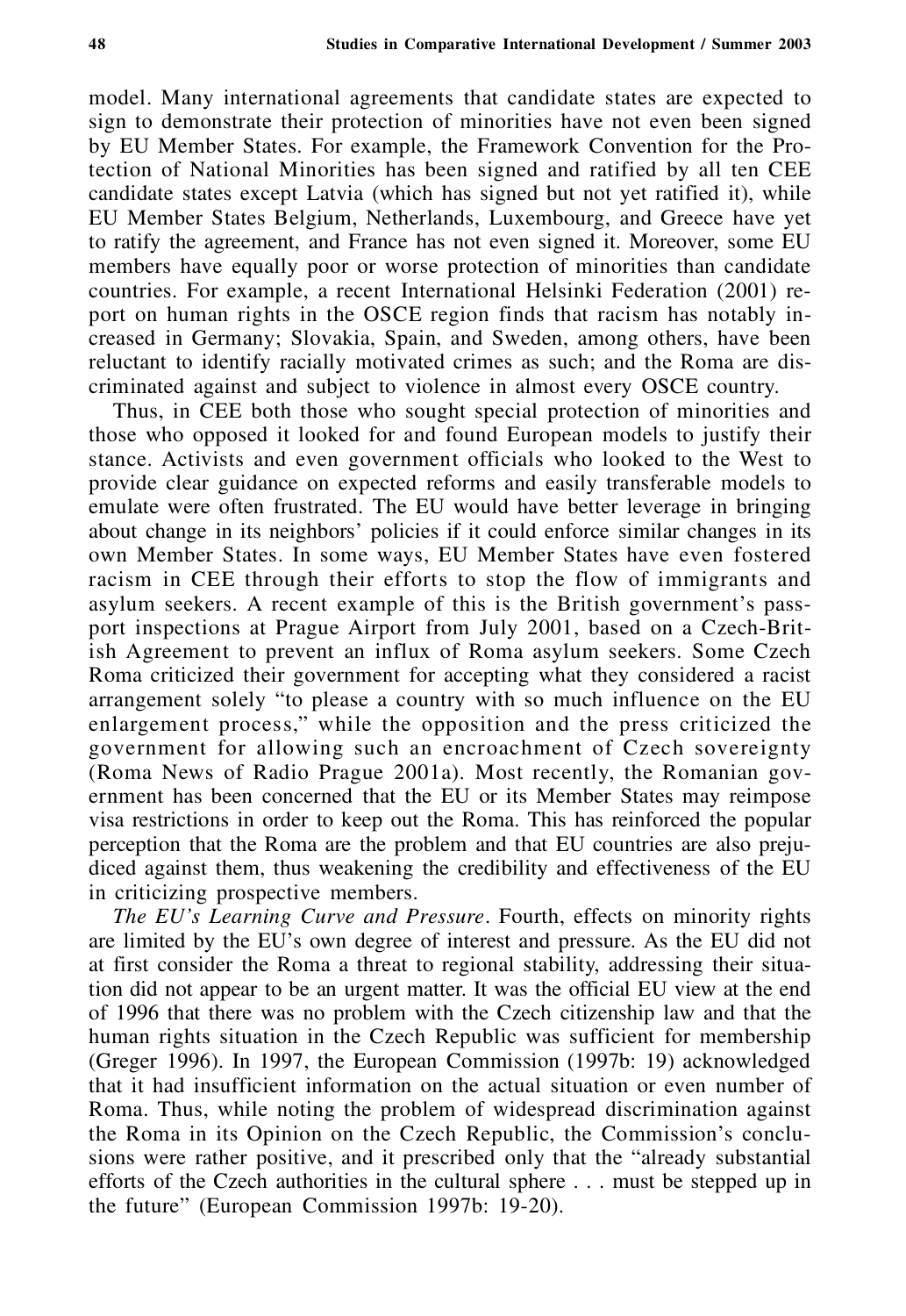model. Many international agreements that candidate states are expected to sign to demonstrate their protection of minorities have not even been signed by EU Member States. For example, the Framework Convention for the Protection of National Minorities has been signed and ratified by all ten CEE candidate states except Latvia (which has signed but not yet ratified it), while EU Member States Belgium, Netherlands, Luxembourg, and Greece have yet to ratify the agreement, and France has not even signed it. Moreover, some EU members have equally poor or worse protection of minorities than candidate countries. For example, a recent International Helsinki Federation (2001) report on human rights in the OSCE region finds that racism has notably increased in Germany; Slovakia, Spain, and Sweden, among others, have been reluctant to identify racially motivated crimes as such; and the Roma are discriminated against and subject to violence in almost every OSCE country.

Thus, in CEE both those who sought special protection of minorities and those who opposed it looked for and found European models to justify their stance. Activists and even government officials who looked to the West to provide clear guidance on expected reforms and easily transferable models to emulate were often frustrated. The EU would have better leverage in bringing about change in its neighbors' policies if it could enforce similar changes in its own Member States. In some ways, EU Member States have even fostered racism in CEE through their efforts to stop the flow of immigrants and asylum seekers. A recent example of this is the British government's passport inspections at Prague Airport from July 2001, based on a Czech-British Agreement to prevent an influx of Roma asylum seekers. Some Czech Roma criticized their government for accepting what they considered a racist arrangement solely "to please a country with so much influence on the EU enlargement process," while the opposition and the press criticized the government for allowing such an encroachment of Czech sovereignty (Roma News of Radio Prague 2001a). Most recently, the Romanian government has been concerned that the EU or its Member States may reimpose visa restrictions in order to keep out the Roma. This has reinforced the popular perception that the Roma are the problem and that EU countries are also prejudiced against them, thus weakening the credibility and effectiveness of the EU in criticizing prospective members.

*The EU's Learning Curve and Pressure*. Fourth, effects on minority rights are limited by the EU's own degree of interest and pressure. As the EU did not at first consider the Roma a threat to regional stability, addressing their situation did not appear to be an urgent matter. It was the official EU view at the end of 1996 that there was no problem with the Czech citizenship law and that the human rights situation in the Czech Republic was sufficient for membership (Greger 1996). In 1997, the European Commission (1997b: 19) acknowledged that it had insufficient information on the actual situation or even number of Roma. Thus, while noting the problem of widespread discrimination against the Roma in its Opinion on the Czech Republic, the Commission's conclusions were rather positive, and it prescribed only that the "already substantial efforts of the Czech authorities in the cultural sphere . . . must be stepped up in the future" (European Commission 1997b: 19-20).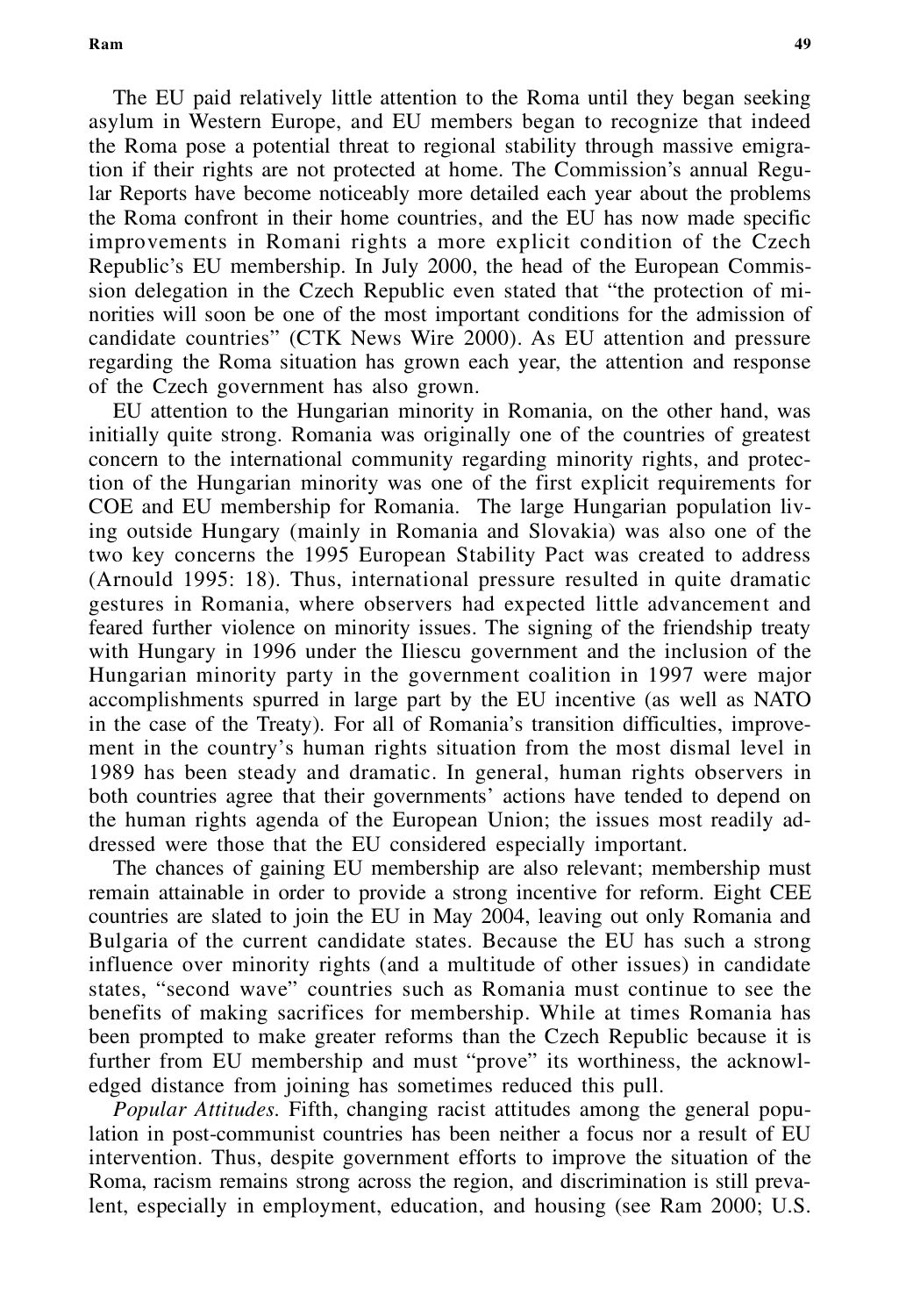The EU paid relatively little attention to the Roma until they began seeking asylum in Western Europe, and EU members began to recognize that indeed the Roma pose a potential threat to regional stability through massive emigration if their rights are not protected at home. The Commission's annual Regular Reports have become noticeably more detailed each year about the problems the Roma confront in their home countries, and the EU has now made specific improvements in Romani rights a more explicit condition of the Czech Republic's EU membership. In July 2000, the head of the European Commission delegation in the Czech Republic even stated that "the protection of minorities will soon be one of the most important conditions for the admission of candidate countries" (CTK News Wire 2000). As EU attention and pressure regarding the Roma situation has grown each year, the attention and response of the Czech government has also grown.

EU attention to the Hungarian minority in Romania, on the other hand, was initially quite strong. Romania was originally one of the countries of greatest concern to the international community regarding minority rights, and protection of the Hungarian minority was one of the first explicit requirements for COE and EU membership for Romania. The large Hungarian population living outside Hungary (mainly in Romania and Slovakia) was also one of the two key concerns the 1995 European Stability Pact was created to address (Arnould 1995: 18). Thus, international pressure resulted in quite dramatic gestures in Romania, where observers had expected little advancement and feared further violence on minority issues. The signing of the friendship treaty with Hungary in 1996 under the Iliescu government and the inclusion of the Hungarian minority party in the government coalition in 1997 were major accomplishments spurred in large part by the EU incentive (as well as NATO in the case of the Treaty). For all of Romania's transition difficulties, improvement in the country's human rights situation from the most dismal level in 1989 has been steady and dramatic. In general, human rights observers in both countries agree that their governments' actions have tended to depend on the human rights agenda of the European Union; the issues most readily addressed were those that the EU considered especially important.

The chances of gaining EU membership are also relevant; membership must remain attainable in order to provide a strong incentive for reform. Eight CEE countries are slated to join the EU in May 2004, leaving out only Romania and Bulgaria of the current candidate states. Because the EU has such a strong influence over minority rights (and a multitude of other issues) in candidate states, "second wave" countries such as Romania must continue to see the benefits of making sacrifices for membership. While at times Romania has been prompted to make greater reforms than the Czech Republic because it is further from EU membership and must "prove" its worthiness, the acknowledged distance from joining has sometimes reduced this pull.

*Popular Attitudes.* Fifth, changing racist attitudes among the general population in post-communist countries has been neither a focus nor a result of EU intervention. Thus, despite government efforts to improve the situation of the Roma, racism remains strong across the region, and discrimination is still prevalent, especially in employment, education, and housing (see Ram 2000; U.S.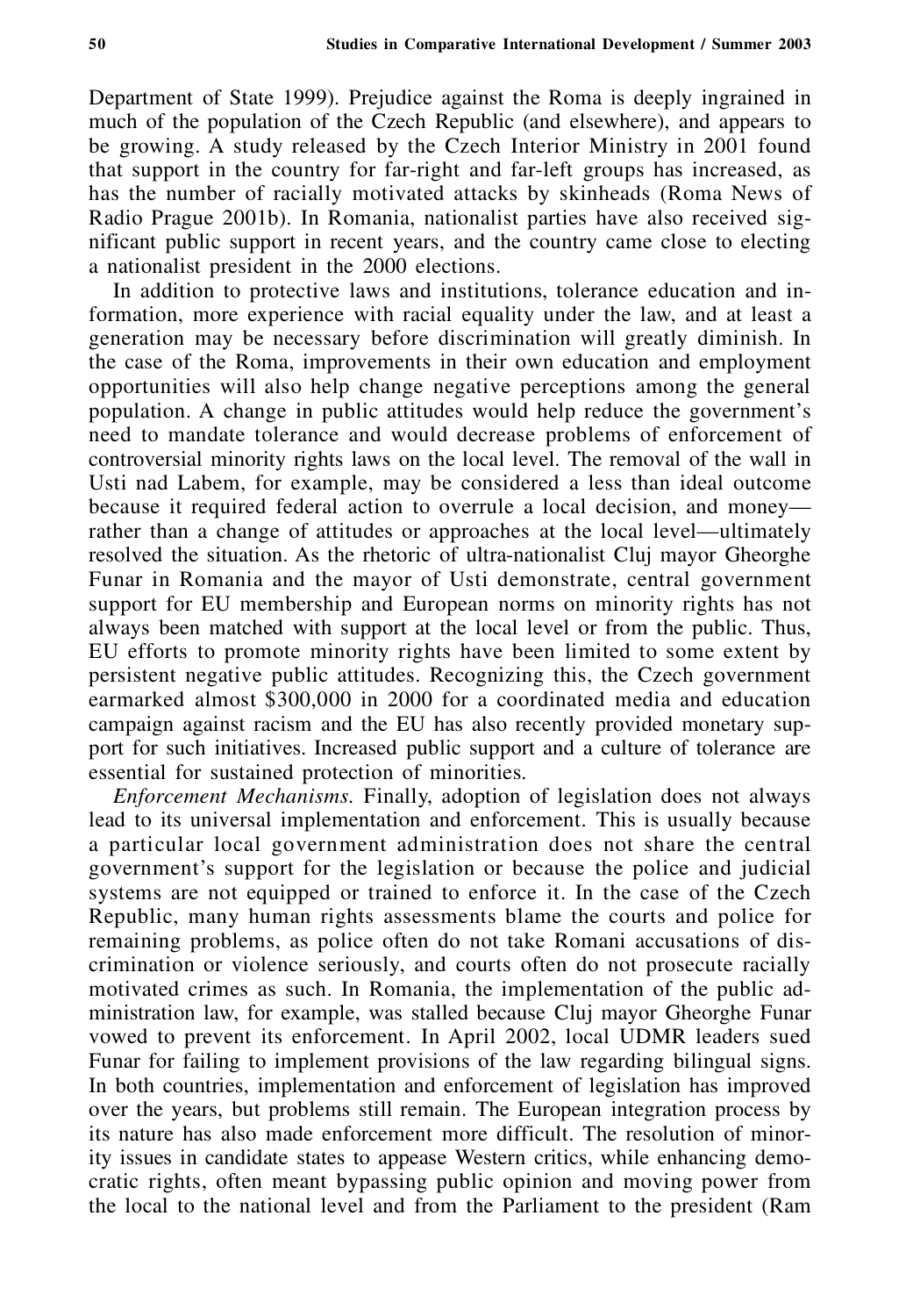Department of State 1999). Prejudice against the Roma is deeply ingrained in much of the population of the Czech Republic (and elsewhere), and appears to be growing. A study released by the Czech Interior Ministry in 2001 found that support in the country for far-right and far-left groups has increased, as has the number of racially motivated attacks by skinheads (Roma News of Radio Prague 2001b). In Romania, nationalist parties have also received significant public support in recent years, and the country came close to electing a nationalist president in the 2000 elections.

In addition to protective laws and institutions, tolerance education and information, more experience with racial equality under the law, and at least a generation may be necessary before discrimination will greatly diminish. In the case of the Roma, improvements in their own education and employment opportunities will also help change negative perceptions among the general population. A change in public attitudes would help reduce the government's need to mandate tolerance and would decrease problems of enforcement of controversial minority rights laws on the local level. The removal of the wall in Usti nad Labem, for example, may be considered a less than ideal outcome because it required federal action to overrule a local decision, and money rather than a change of attitudes or approaches at the local level—ultimately resolved the situation. As the rhetoric of ultra-nationalist Cluj mayor Gheorghe Funar in Romania and the mayor of Usti demonstrate, central government support for EU membership and European norms on minority rights has not always been matched with support at the local level or from the public. Thus, EU efforts to promote minority rights have been limited to some extent by persistent negative public attitudes. Recognizing this, the Czech government earmarked almost \$300,000 in 2000 for a coordinated media and education campaign against racism and the EU has also recently provided monetary support for such initiatives. Increased public support and a culture of tolerance are essential for sustained protection of minorities.

*Enforcement Mechanisms.* Finally, adoption of legislation does not always lead to its universal implementation and enforcement. This is usually because a particular local government administration does not share the central government's support for the legislation or because the police and judicial systems are not equipped or trained to enforce it. In the case of the Czech Republic, many human rights assessments blame the courts and police for remaining problems, as police often do not take Romani accusations of discrimination or violence seriously, and courts often do not prosecute racially motivated crimes as such. In Romania, the implementation of the public administration law, for example, was stalled because Cluj mayor Gheorghe Funar vowed to prevent its enforcement. In April 2002, local UDMR leaders sued Funar for failing to implement provisions of the law regarding bilingual signs. In both countries, implementation and enforcement of legislation has improved over the years, but problems still remain. The European integration process by its nature has also made enforcement more difficult. The resolution of minority issues in candidate states to appease Western critics, while enhancing democratic rights, often meant bypassing public opinion and moving power from the local to the national level and from the Parliament to the president (Ram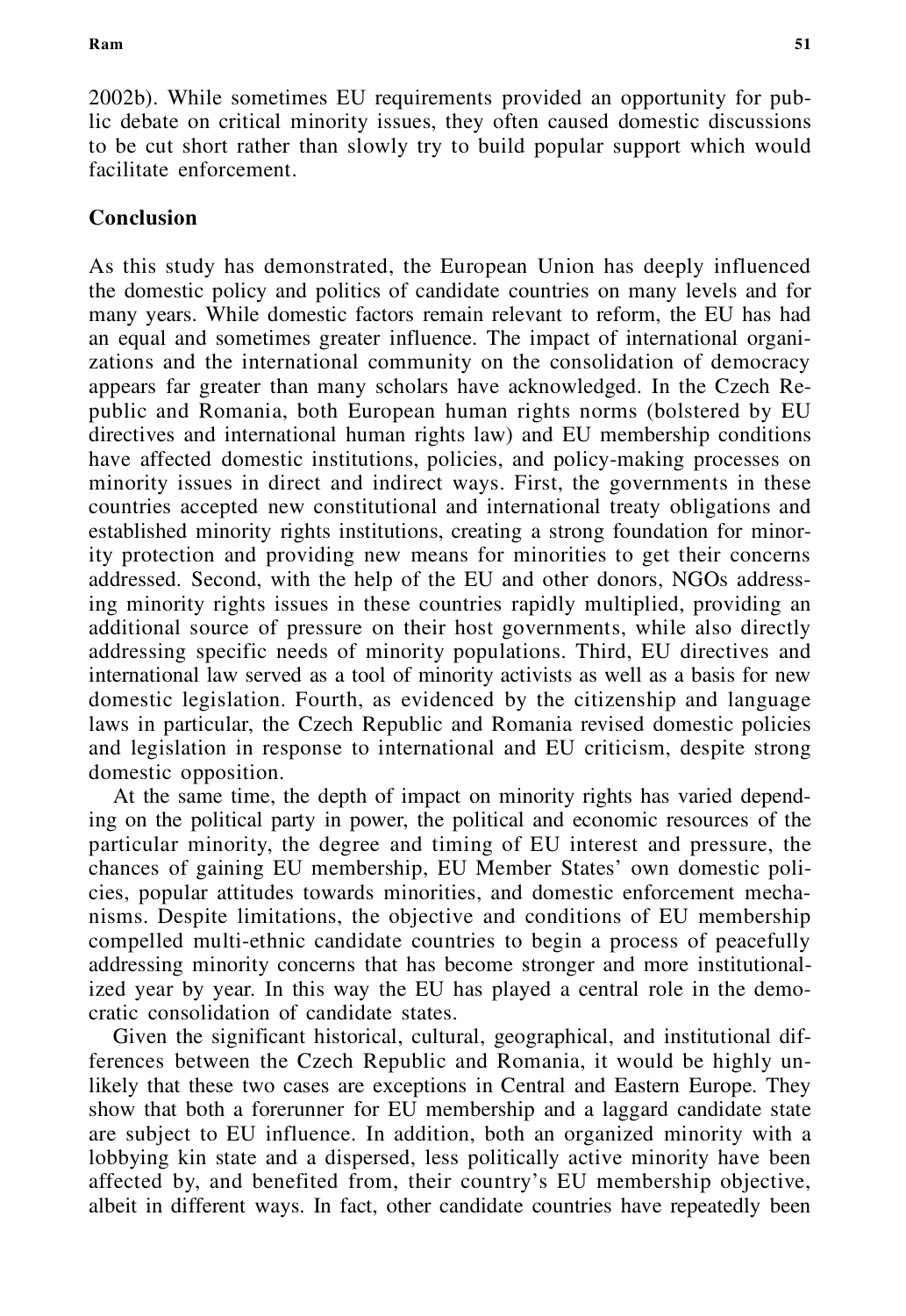2002b). While sometimes EU requirements provided an opportunity for public debate on critical minority issues, they often caused domestic discussions to be cut short rather than slowly try to build popular support which would facilitate enforcement.

## **Conclusion**

As this study has demonstrated, the European Union has deeply influenced the domestic policy and politics of candidate countries on many levels and for many years. While domestic factors remain relevant to reform, the EU has had an equal and sometimes greater influence. The impact of international organizations and the international community on the consolidation of democracy appears far greater than many scholars have acknowledged. In the Czech Republic and Romania, both European human rights norms (bolstered by EU directives and international human rights law) and EU membership conditions have affected domestic institutions, policies, and policy-making processes on minority issues in direct and indirect ways. First, the governments in these countries accepted new constitutional and international treaty obligations and established minority rights institutions, creating a strong foundation for minority protection and providing new means for minorities to get their concerns addressed. Second, with the help of the EU and other donors, NGOs addressing minority rights issues in these countries rapidly multiplied, providing an additional source of pressure on their host governments, while also directly addressing specific needs of minority populations. Third, EU directives and international law served as a tool of minority activists as well as a basis for new domestic legislation. Fourth, as evidenced by the citizenship and language laws in particular, the Czech Republic and Romania revised domestic policies and legislation in response to international and EU criticism, despite strong domestic opposition.

At the same time, the depth of impact on minority rights has varied depending on the political party in power, the political and economic resources of the particular minority, the degree and timing of EU interest and pressure, the chances of gaining EU membership, EU Member States' own domestic policies, popular attitudes towards minorities, and domestic enforcement mechanisms. Despite limitations, the objective and conditions of EU membership compelled multi-ethnic candidate countries to begin a process of peacefully addressing minority concerns that has become stronger and more institutionalized year by year. In this way the EU has played a central role in the democratic consolidation of candidate states.

Given the significant historical, cultural, geographical, and institutional differences between the Czech Republic and Romania, it would be highly unlikely that these two cases are exceptions in Central and Eastern Europe. They show that both a forerunner for EU membership and a laggard candidate state are subject to EU influence. In addition, both an organized minority with a lobbying kin state and a dispersed, less politically active minority have been affected by, and benefited from, their country's EU membership objective, albeit in different ways. In fact, other candidate countries have repeatedly been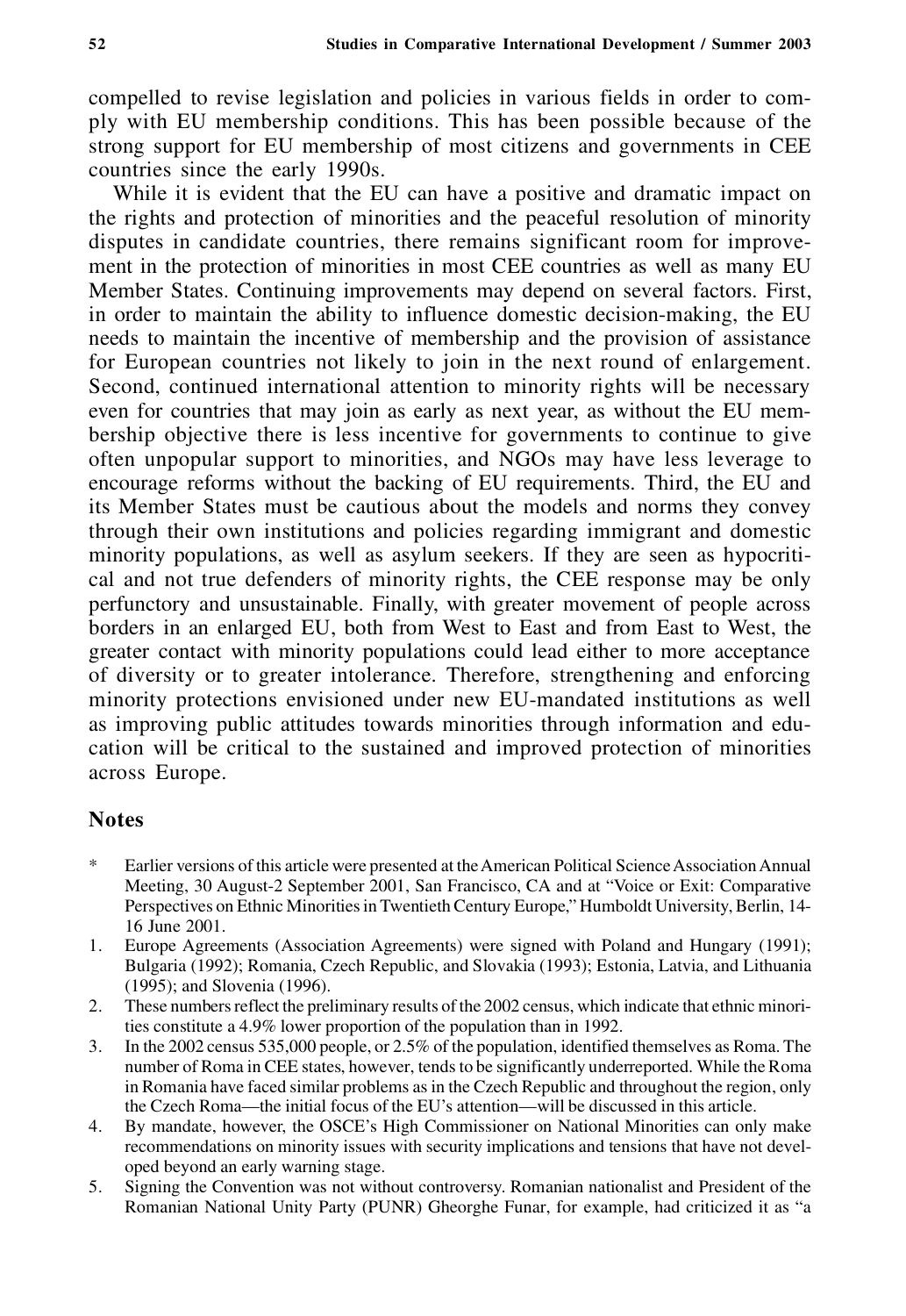compelled to revise legislation and policies in various fields in order to comply with EU membership conditions. This has been possible because of the strong support for EU membership of most citizens and governments in CEE countries since the early 1990s.

While it is evident that the EU can have a positive and dramatic impact on the rights and protection of minorities and the peaceful resolution of minority disputes in candidate countries, there remains significant room for improvement in the protection of minorities in most CEE countries as well as many EU Member States. Continuing improvements may depend on several factors. First, in order to maintain the ability to influence domestic decision-making, the EU needs to maintain the incentive of membership and the provision of assistance for European countries not likely to join in the next round of enlargement. Second, continued international attention to minority rights will be necessary even for countries that may join as early as next year, as without the EU membership objective there is less incentive for governments to continue to give often unpopular support to minorities, and NGOs may have less leverage to encourage reforms without the backing of EU requirements. Third, the EU and its Member States must be cautious about the models and norms they convey through their own institutions and policies regarding immigrant and domestic minority populations, as well as asylum seekers. If they are seen as hypocritical and not true defenders of minority rights, the CEE response may be only perfunctory and unsustainable. Finally, with greater movement of people across borders in an enlarged EU, both from West to East and from East to West, the greater contact with minority populations could lead either to more acceptance of diversity or to greater intolerance. Therefore, strengthening and enforcing minority protections envisioned under new EU-mandated institutions as well as improving public attitudes towards minorities through information and education will be critical to the sustained and improved protection of minorities across Europe.

#### **Notes**

- \* Earlier versions of this article were presented at the American Political Science Association Annual Meeting, 30 August-2 September 2001, San Francisco, CA and at "Voice or Exit: Comparative Perspectives on Ethnic Minorities in Twentieth Century Europe," Humboldt University, Berlin, 14- 16 June 2001.
- 1. Europe Agreements (Association Agreements) were signed with Poland and Hungary (1991); Bulgaria (1992); Romania, Czech Republic, and Slovakia (1993); Estonia, Latvia, and Lithuania (1995); and Slovenia (1996).
- 2. These numbers reflect the preliminary results of the 2002 census, which indicate that ethnic minorities constitute a 4.9% lower proportion of the population than in 1992.
- 3. In the 2002 census 535,000 people, or 2.5% of the population, identified themselves as Roma. The number of Roma in CEE states, however, tends to be significantly underreported. While the Roma in Romania have faced similar problems as in the Czech Republic and throughout the region, only the Czech Roma—the initial focus of the EU's attention—will be discussed in this article.
- 4. By mandate, however, the OSCE's High Commissioner on National Minorities can only make recommendations on minority issues with security implications and tensions that have not developed beyond an early warning stage.
- 5. Signing the Convention was not without controversy. Romanian nationalist and President of the Romanian National Unity Party (PUNR) Gheorghe Funar, for example, had criticized it as "a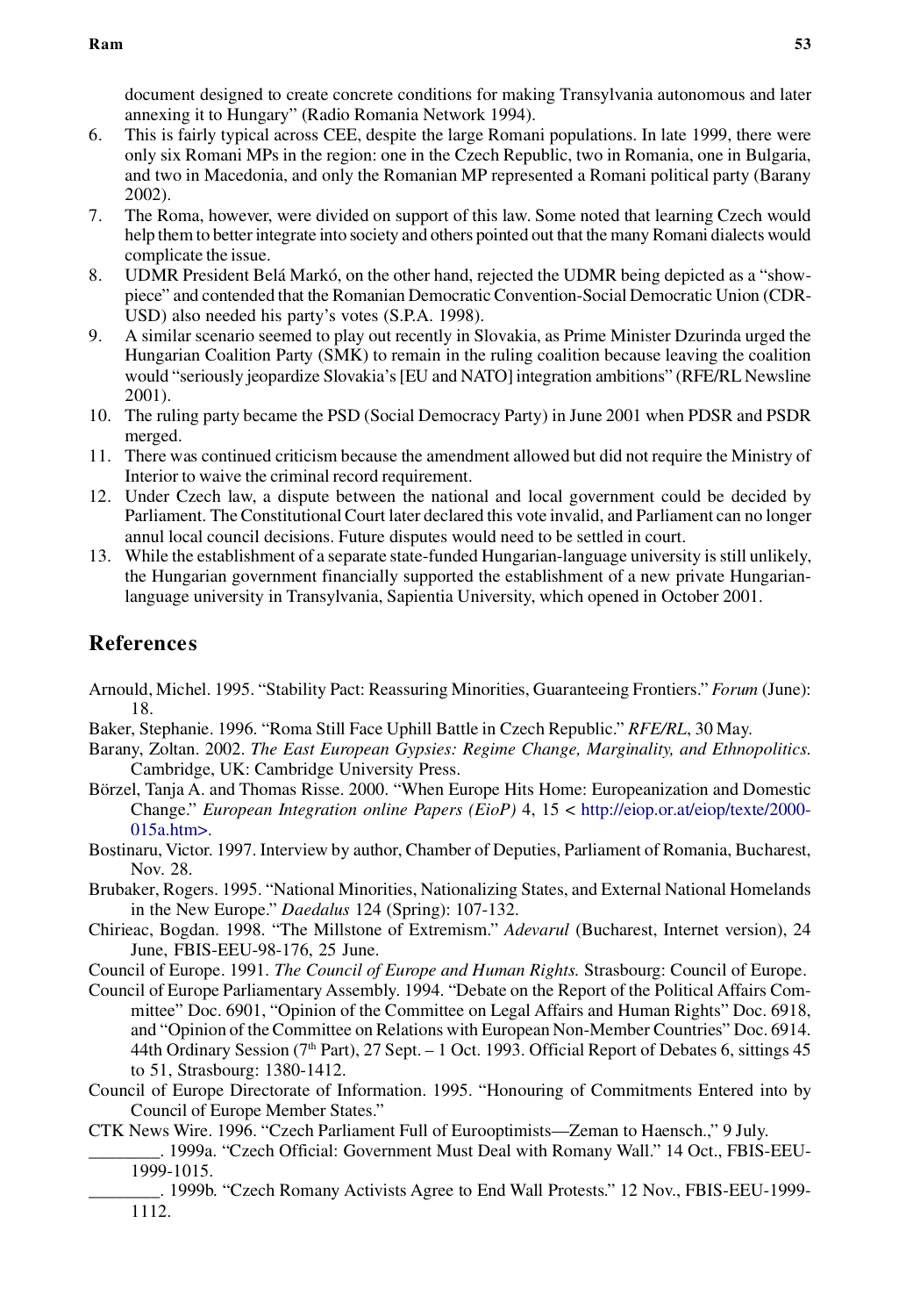document designed to create concrete conditions for making Transylvania autonomous and later annexing it to Hungary" (Radio Romania Network 1994).

- 6. This is fairly typical across CEE, despite the large Romani populations. In late 1999, there were only six Romani MPs in the region: one in the Czech Republic, two in Romania, one in Bulgaria, and two in Macedonia, and only the Romanian MP represented a Romani political party (Barany 2002).
- 7. The Roma, however, were divided on support of this law. Some noted that learning Czech would help them to better integrate into society and others pointed out that the many Romani dialects would complicate the issue.
- 8. UDMR President Belá Markó, on the other hand, rejected the UDMR being depicted as a "showpiece" and contended that the Romanian Democratic Convention-Social Democratic Union (CDR-USD) also needed his party's votes (S.P.A. 1998).
- 9. A similar scenario seemed to play out recently in Slovakia, as Prime Minister Dzurinda urged the Hungarian Coalition Party (SMK) to remain in the ruling coalition because leaving the coalition would "seriously jeopardize Slovakia's [EU and NATO] integration ambitions" (RFE/RL Newsline 2001).
- 10. The ruling party became the PSD (Social Democracy Party) in June 2001 when PDSR and PSDR merged.
- 11. There was continued criticism because the amendment allowed but did not require the Ministry of Interior to waive the criminal record requirement.
- 12. Under Czech law, a dispute between the national and local government could be decided by Parliament. The Constitutional Court later declared this vote invalid, and Parliament can no longer annul local council decisions. Future disputes would need to be settled in court.
- 13. While the establishment of a separate state-funded Hungarian-language university is still unlikely, the Hungarian government financially supported the establishment of a new private Hungarianlanguage university in Transylvania, Sapientia University, which opened in October 2001.

# **References**

- Arnould, Michel. 1995. "Stability Pact: Reassuring Minorities, Guaranteeing Frontiers." *Forum* (June): 18.
- Baker, Stephanie. 1996. "Roma Still Face Uphill Battle in Czech Republic." *RFE/RL*, 30 May.
- Barany, Zoltan. 2002. *The East European Gypsies: Regime Change, Marginality, and Ethnopolitics.* Cambridge, UK: Cambridge University Press.
- Börzel, Tanja A. and Thomas Risse. 2000. "When Europe Hits Home: Europeanization and Domestic Change." *European Integration online Papers (EioP)* 4, 15 < [http://eiop.or.at/eiop/texte/2000-](http://eiop.or.at/eiop/texte/2000-015a.htm) [015a.htm>.](http://eiop.or.at/eiop/texte/2000-015a.htm)
- Bostinaru, Victor. 1997. Interview by author, Chamber of Deputies, Parliament of Romania, Bucharest, ,Nov. 28.
- Brubaker, Rogers. 1995. "National Minorities, Nationalizing States, and External National Homelands in the New Europe." *Daedalus* 124 (Spring): 107-132.
- Chirieac, Bogdan. 1998. "The Millstone of Extremism." *Adevarul* (Bucharest, Internet version), 24 June, FBIS-EEU-98-176, 25 June.
- Council of Europe. 1991. *The Council of Europe and Human Rights.* Strasbourg: Council of Europe.
- Council of Europe Parliamentary Assembly. 1994. "Debate on the Report of the Political Affairs Committee" Doc. 6901, "Opinion of the Committee on Legal Affairs and Human Rights" Doc. 6918, and "Opinion of the Committee on Relations with European Non-Member Countries" Doc. 6914. 44th Ordinary Session ( $7<sup>th</sup>$  Part), 27 Sept. – 1 Oct. 1993. Official Report of Debates 6, sittings 45 to 51, Strasbourg: 1380-1412.
- Council of Europe Directorate of Information. 1995. "Honouring of Commitments Entered into by Council of Europe Member States."
- CTK News Wire. 1996. "Czech Parliament Full of Eurooptimists—Zeman to Haensch.," 9 July.
- \_\_\_\_\_\_\_\_. 1999a. "Czech Official: Government Must Deal with Romany Wall." 14 Oct., FBIS-EEU-1999-1015.
- \_\_\_\_\_\_\_\_. 1999b. "Czech Romany Activists Agree to End Wall Protests." 12 Nov., FBIS-EEU-1999- 1112.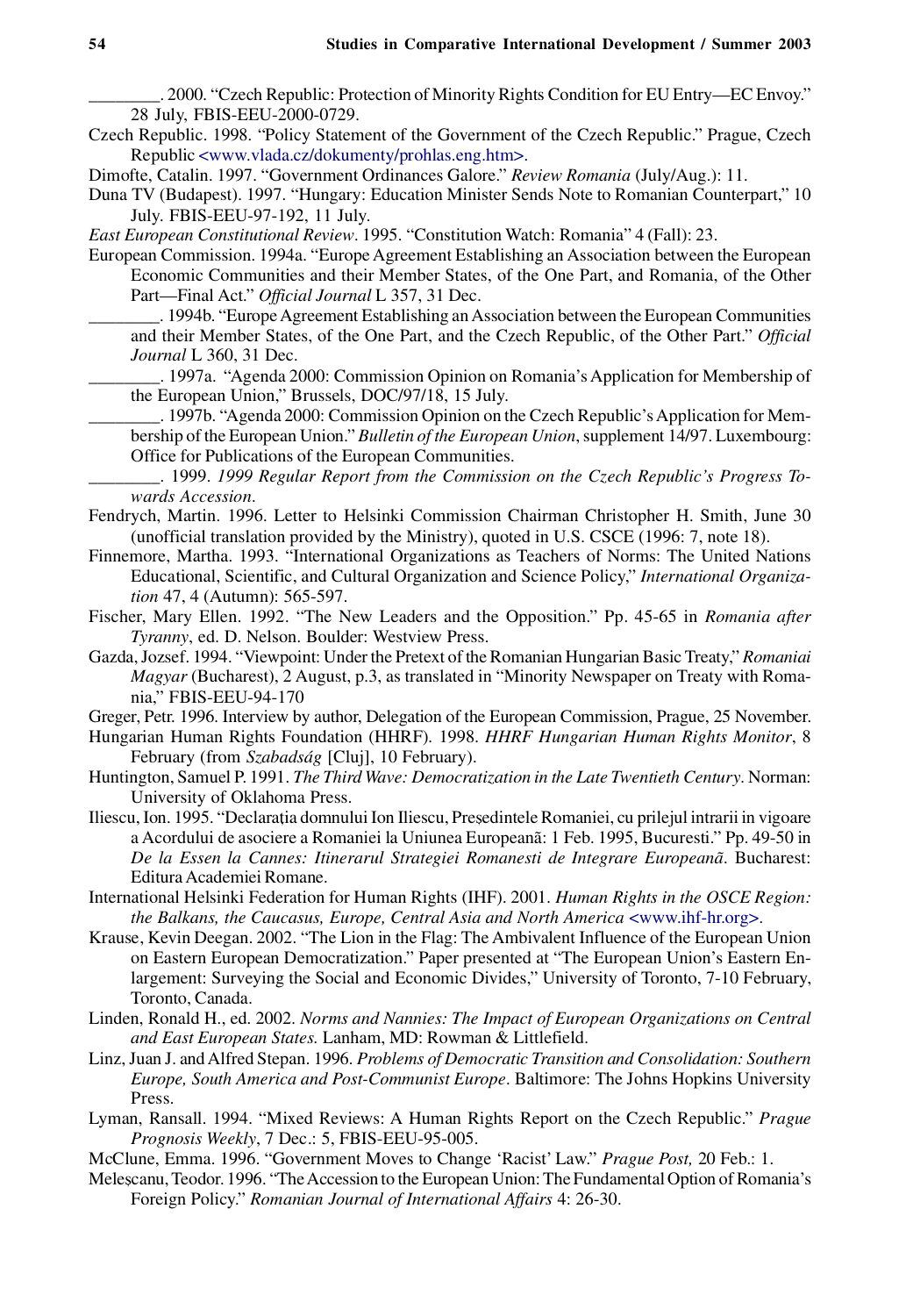\_\_\_\_\_\_\_\_. 2000. "Czech Republic: Protection of Minority Rights Condition for EU Entry—EC Envoy." 28 July, FBIS-EEU-2000-0729.

- Czech Republic. 1998. "Policy Statement of the Government of the Czech Republic." Prague, Czech Republic [<www.vlada.cz/dokumenty/prohlas.eng.htm>.](http://www.vlada.cz/dokumenty/prohlas.eng.htm)
- Dimofte, Catalin. 1997. "Government Ordinances Galore." *Review Romania* (July/Aug.): 11.
- Duna TV (Budapest). 1997. "Hungary: Education Minister Sends Note to Romanian Counterpart," 10 July. FBIS-EEU-97-192, 11 July.
- *East European Constitutional Review*. 1995. "Constitution Watch: Romania" 4 (Fall): 23.
- European Commission. 1994a. "Europe Agreement Establishing an Association between the European Economic Communities and their Member States, of the One Part, and Romania, of the Other Part—Final Act." *Official Journal* L 357, 31 Dec.
	- \_\_\_\_\_\_\_\_. 1994b. "Europe Agreement Establishing an Association between the European Communities and their Member States, of the One Part, and the Czech Republic, of the Other Part." *Official Journal* L 360, 31 Dec.

\_\_\_\_\_\_\_\_. 1997a. "Agenda 2000: Commission Opinion on Romania's Application for Membership of the European Union," Brussels, DOC/97/18, 15 July.

\_\_\_\_\_\_\_\_. 1997b. "Agenda 2000: Commission Opinion on the Czech Republic's Application for Membership of the European Union." *Bulletin of the European Union*, supplement 14/97. Luxembourg: Office for Publications of the European Communities.

\_\_\_\_\_\_\_\_. 1999. *1999 Regular Report from the Commission on the Czech Republic's Progress To wards Accession*.

- Fendrych, Martin. 1996. Letter to Helsinki Commission Chairman Christopher H. Smith, June 30 (unofficial translation provided by the Ministry), quoted in U.S. CSCE (1996: 7, note 18).
- Finnemore, Martha. 1993. "International Organizations as Teachers of Norms: The United Nations Educational, Scientific, and Cultural Organization and Science Policy," *International Organization* 47, 4 (Autumn): 565-597.
- Fischer, Mary Ellen. 1992. "The New Leaders and the Opposition." Pp. 45-65 in *Romania after Tyranny*, ed. D. Nelson. Boulder: Westview Press.
- Gazda, Jozsef. 1994. "Viewpoint: Under the Pretext of the Romanian Hungarian Basic Treaty," *Romaniai Magyar* (Bucharest), 2 August, p.3, as translated in "Minority Newspaper on Treaty with Romania," FBIS-EEU-94-170
- Greger, Petr. 1996. Interview by author, Delegation of the European Commission, Prague, 25 November.
- Hungarian Human Rights Foundation (HHRF). 1998. *HHRF Hungarian Human Rights Monitor*, 8 February (from *Szabadság* [Cluj], 10 February).
- Huntington, Samuel P. 1991. *The Third Wave: Democratization in the Late Twentieth Century*. Norman: University of Oklahoma Press.
- Iliescu, Ion. 1995. "Declaratia domnului Ion Iliescu, Președintele Romaniei, cu prilejul intrarii in vigoare a Acordului de asociere a Romaniei la Uniunea Europeanã: 1 Feb. 1995, Bucuresti." Pp. 49-50 in *De la Essen la Cannes: Itinerarul Strategiei Romanesti de Integrare Europeanã*. Bucharest: Editura Academiei Romane.
- International Helsinki Federation for Human Rights (IHF). 2001. *Human Rights in the OSCE Region: the Balkans, the Caucasus, Europe, Central Asia and North America* [<www.ihf-hr.org>.](http://www.ihf-hr.org)
- Krause, Kevin Deegan. 2002. "The Lion in the Flag: The Ambivalent Influence of the European Union on Eastern European Democratization." Paper presented at "The European Union's Eastern Enlargement: Surveying the Social and Economic Divides," University of Toronto, 7-10 February, Toronto, Canada.
- Linden, Ronald H., ed. 2002. *Norms and Nannies: The Impact of European Organizations on Central and East European States.* Lanham, MD: Rowman & Littlefield.
- Linz, Juan J. and Alfred Stepan. 1996. *Problems of Democratic Transition and Consolidation: Southern Europe, South America and Post-Communist Europe*. Baltimore: The Johns Hopkins University Press.
- Lyman, Ransall. 1994. "Mixed Reviews: A Human Rights Report on the Czech Republic." *Prague Prognosis Weekly*, 7 Dec.: 5, FBIS-EEU-95-005.
- McClune, Emma. 1996. "Government Moves to Change 'Racist' Law." *Prague Post,* 20 Feb.: 1.
- Melescanu, Teodor. 1996. "The Accession to the European Union: The Fundamental Option of Romania's , Foreign Policy." *Romanian Journal of International Affairs* 4: 26-30.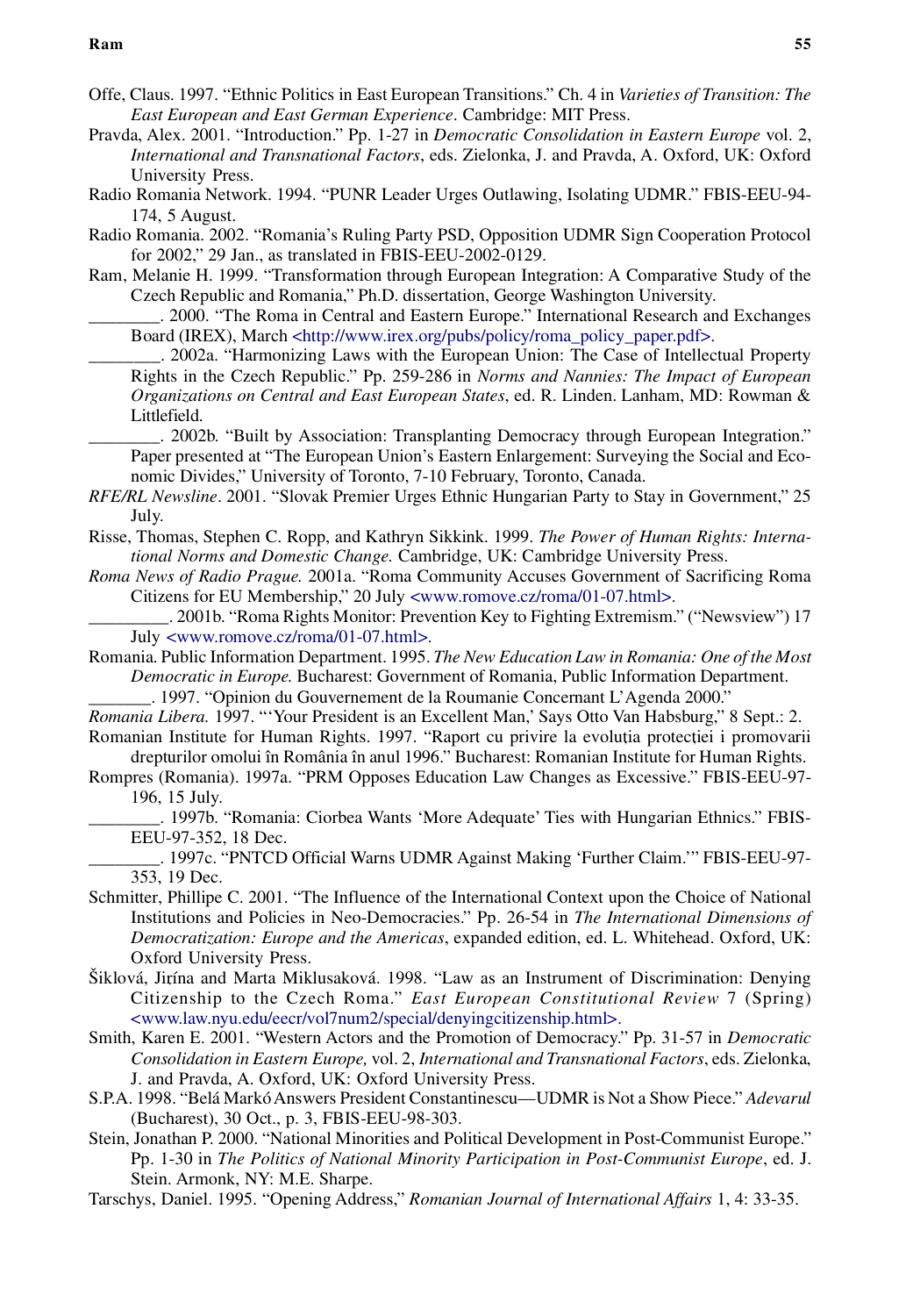- Offe, Claus. 1997. "Ethnic Politics in East European Transitions." Ch. 4 in *Varieties of Transition: The East European and East German Experience*. Cambridge: MIT Press.
- Pravda, Alex. 2001. "Introduction." Pp. 1-27 in *Democratic Consolidation in Eastern Europe* vol. 2, *International and Transnational Factors*, eds. Zielonka, J. and Pravda, A. Oxford, UK: Oxford University Press.
- Radio Romania Network. 1994. "PUNR Leader Urges Outlawing, Isolating UDMR." FBIS-EEU-94- 174, 5 August.
- Radio Romania. 2002. "Romania's Ruling Party PSD, Opposition UDMR Sign Cooperation Protocol for 2002," 29 Jan., as translated in FBIS-EEU-2002-0129.
- Ram, Melanie H. 1999. "Transformation through European Integration: A Comparative Study of the Czech Republic and Romania," Ph.D. dissertation, George Washington University.

\_\_\_\_\_\_\_\_. 2000. "The Roma in Central and Eastern Europe." International Research and Exchanges Board (IREX), March [<http://www.irex.org/pubs/policy/roma\\_policy\\_paper.pdf>.](http://www.irex.org/pubs/policy/roma_policy_paper.pdf)

\_\_\_\_\_\_\_\_. 2002a. "Harmonizing Laws with the European Union: The Case of Intellectual Property Rights in the Czech Republic." Pp. 259-286 in *Norms and Nannies: The Impact of European Organizations on Central and East European States*, ed. R. Linden. Lanham, MD: Rowman & Littlefield.

\_\_\_\_\_\_\_\_. 2002b. "Built by Association: Transplanting Democracy through European Integration." Paper presented at "The European Union's Eastern Enlargement: Surveying the Social and Economic Divides," University of Toronto, 7-10 February, Toronto, Canada.

- *RFE/RL Newsline*. 2001. "Slovak Premier Urges Ethnic Hungarian Party to Stay in Government," 25 July.
- Risse, Thomas, Stephen C. Ropp, and Kathryn Sikkink. 1999. *The Power of Human Rights: International Norms and Domestic Change.* Cambridge, UK: Cambridge University Press.
- *Roma News of Radio Prague.* 2001a. "Roma Community Accuses Government of Sacrificing Roma Citizens for EU Membership," 20 July [<www.romove.cz/roma/01-07.html>.](http://www.romove.cz/roma/01-07.html)
	- \_\_\_\_\_\_\_\_\_. 2001b. "Roma Rights Monitor: Prevention Key to Fighting Extremism." ("Newsview") 17 July [<www.romove.cz/roma/01-07.html>.](http://www.romove.cz/roma/01-07.html)
- Romania. Public Information Department. 1995. *The New Education Law in Romania: One of the Most Democratic in Europe.* Bucharest: Government of Romania, Public Information Department.
	- \_\_\_\_\_\_\_. 1997. "Opinion du Gouvernement de la Roumanie Concernant L'Agenda 2000."
- *Romania Libera.* 1997. "'Your President is an Excellent Man,' Says Otto Van Habsburg," 8 Sept.: 2.

Romanian Institute for Human Rights. 1997. "Raport cu privire la evolutia protectiei i promovarii drepturilor omolui în România în anul 1996." Bucharest: Romanian Institute for Human Rights.

Rompres (Romania). 1997a. "PRM Opposes Education Law Changes as Excessive." FBIS-EEU-97- 196, 15 July.

\_\_\_\_\_\_\_\_. 1997b. "Romania: Ciorbea Wants 'More Adequate' Ties with Hungarian Ethnics." FBIS-EEU-97-352, 18 Dec.

\_\_\_\_\_\_\_\_. 1997c. "PNTCD Official Warns UDMR Against Making 'Further Claim.'" FBIS-EEU-97- 353, 19 Dec.

- Schmitter, Phillipe C. 2001. "The Influence of the International Context upon the Choice of National Institutions and Policies in Neo-Democracies." Pp. 26-54 in *The International Dimensions of Democratization: Europe and the Americas*, expanded edition, ed. L. Whitehead. Oxford, UK: Oxford University Press.
- Šiklová, Jirína and Marta Miklusaková. 1998. "Law as an Instrument of Discrimination: Denying Citizenship to the Czech Roma." *East European Constitutional Review* 7 (Spring) [<www.law.nyu.edu/eecr/vol7num2/special/denyingcitizenship.html>.](http://www.law.nyu.edu/eecr/vol7num2/special/denyingcitizenship.html)
- Smith, Karen E. 2001. "Western Actors and the Promotion of Democracy." Pp. 31-57 in *Democratic Consolidation in Eastern Europe,* vol. 2, *International and Transnational Factors*, eds. Zielonka, J. and Pravda, A. Oxford, UK: Oxford University Press.
- S.P.A. 1998. "Belá MarkóAnswers President Constantinescu—UDMR is Not a Show Piece." *Adevarul* (Bucharest), 30 Oct., p. 3, FBIS-EEU-98-303.
- Stein, Jonathan P. 2000. "National Minorities and Political Development in Post-Communist Europe." Pp. 1-30 in *The Politics of National Minority Participation in Post-Communist Europe*, ed. J. Stein. Armonk, NY: M.E. Sharpe.

Tarschys, Daniel. 1995. "Opening Address," *Romanian Journal of International Affairs* 1, 4: 33-35.